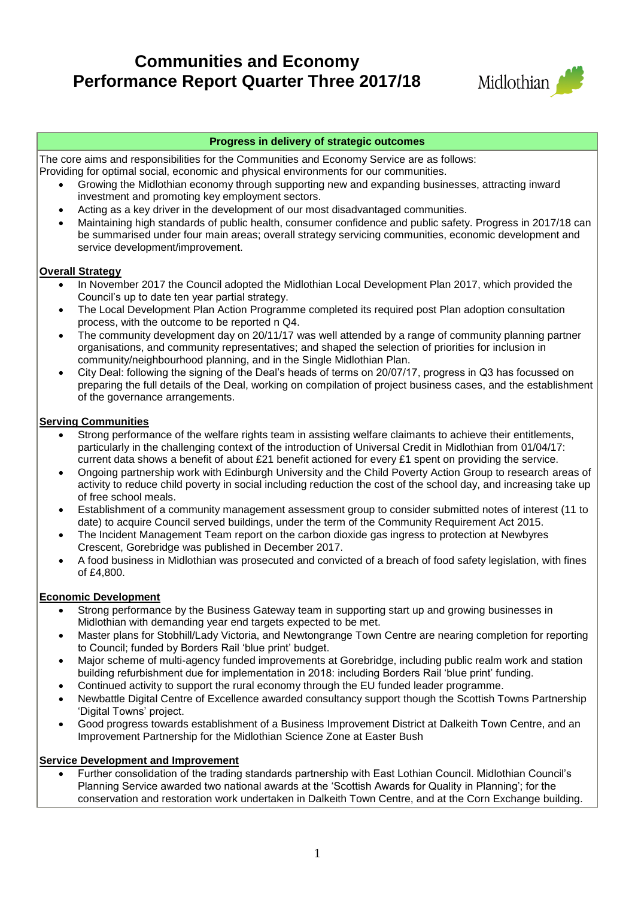# **Communities and Economy Performance Report Quarter Three 2017/18**



#### **Progress in delivery of strategic outcomes**

The core aims and responsibilities for the Communities and Economy Service are as follows:

- Providing for optimal social, economic and physical environments for our communities.
	- Growing the Midlothian economy through supporting new and expanding businesses, attracting inward investment and promoting key employment sectors.
	- Acting as a key driver in the development of our most disadvantaged communities.
	- Maintaining high standards of public health, consumer confidence and public safety. Progress in 2017/18 can be summarised under four main areas; overall strategy servicing communities, economic development and service development/improvement.

#### **Overall Strategy**

- In November 2017 the Council adopted the Midlothian Local Development Plan 2017, which provided the Council's up to date ten year partial strategy.
- The Local Development Plan Action Programme completed its required post Plan adoption consultation process, with the outcome to be reported n Q4.
- The community development day on 20/11/17 was well attended by a range of community planning partner organisations, and community representatives; and shaped the selection of priorities for inclusion in community/neighbourhood planning, and in the Single Midlothian Plan.
- City Deal: following the signing of the Deal's heads of terms on 20/07/17, progress in Q3 has focussed on preparing the full details of the Deal, working on compilation of project business cases, and the establishment of the governance arrangements.

#### **Serving Communities**

- Strong performance of the welfare rights team in assisting welfare claimants to achieve their entitlements, particularly in the challenging context of the introduction of Universal Credit in Midlothian from 01/04/17: current data shows a benefit of about £21 benefit actioned for every £1 spent on providing the service.
- Ongoing partnership work with Edinburgh University and the Child Poverty Action Group to research areas of activity to reduce child poverty in social including reduction the cost of the school day, and increasing take up of free school meals.
- Establishment of a community management assessment group to consider submitted notes of interest (11 to date) to acquire Council served buildings, under the term of the Community Requirement Act 2015.
- The Incident Management Team report on the carbon dioxide gas ingress to protection at Newbyres Crescent, Gorebridge was published in December 2017.
- A food business in Midlothian was prosecuted and convicted of a breach of food safety legislation, with fines of £4,800.

### **Economic Development**

- Strong performance by the Business Gateway team in supporting start up and growing businesses in Midlothian with demanding year end targets expected to be met.
- Master plans for Stobhill/Lady Victoria, and Newtongrange Town Centre are nearing completion for reporting to Council; funded by Borders Rail 'blue print' budget.
- Major scheme of multi-agency funded improvements at Gorebridge, including public realm work and station building refurbishment due for implementation in 2018: including Borders Rail 'blue print' funding.
- Continued activity to support the rural economy through the EU funded leader programme.
- Newbattle Digital Centre of Excellence awarded consultancy support though the Scottish Towns Partnership 'Digital Towns' project.
- Good progress towards establishment of a Business Improvement District at Dalkeith Town Centre, and an Improvement Partnership for the Midlothian Science Zone at Easter Bush

#### **Service Development and Improvement**

 Further consolidation of the trading standards partnership with East Lothian Council. Midlothian Council's Planning Service awarded two national awards at the 'Scottish Awards for Quality in Planning'; for the conservation and restoration work undertaken in Dalkeith Town Centre, and at the Corn Exchange building.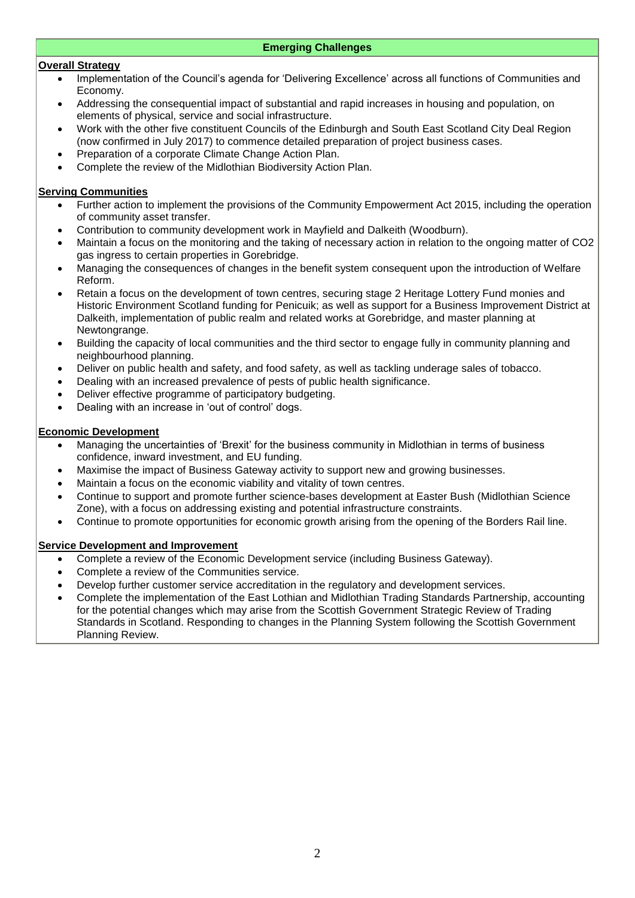#### **Emerging Challenges**

#### **Overall Strategy**

- Implementation of the Council's agenda for 'Delivering Excellence' across all functions of Communities and Economy.
- Addressing the consequential impact of substantial and rapid increases in housing and population, on elements of physical, service and social infrastructure.
- Work with the other five constituent Councils of the Edinburgh and South East Scotland City Deal Region (now confirmed in July 2017) to commence detailed preparation of project business cases.
- Preparation of a corporate Climate Change Action Plan.
- Complete the review of the Midlothian Biodiversity Action Plan.

#### **Serving Communities**

- Further action to implement the provisions of the Community Empowerment Act 2015, including the operation of community asset transfer.
- Contribution to community development work in Mayfield and Dalkeith (Woodburn).
- Maintain a focus on the monitoring and the taking of necessary action in relation to the ongoing matter of CO2 gas ingress to certain properties in Gorebridge.
- Managing the consequences of changes in the benefit system consequent upon the introduction of Welfare Reform.
- Retain a focus on the development of town centres, securing stage 2 Heritage Lottery Fund monies and Historic Environment Scotland funding for Penicuik; as well as support for a Business Improvement District at Dalkeith, implementation of public realm and related works at Gorebridge, and master planning at Newtongrange.
- Building the capacity of local communities and the third sector to engage fully in community planning and neighbourhood planning.
- Deliver on public health and safety, and food safety, as well as tackling underage sales of tobacco.
- Dealing with an increased prevalence of pests of public health significance.
- Deliver effective programme of participatory budgeting.
- Dealing with an increase in 'out of control' dogs.

#### **Economic Development**

- Managing the uncertainties of 'Brexit' for the business community in Midlothian in terms of business confidence, inward investment, and EU funding.
- Maximise the impact of Business Gateway activity to support new and growing businesses.
- Maintain a focus on the economic viability and vitality of town centres.
- Continue to support and promote further science-bases development at Easter Bush (Midlothian Science Zone), with a focus on addressing existing and potential infrastructure constraints.
- Continue to promote opportunities for economic growth arising from the opening of the Borders Rail line.

### **Service Development and Improvement**

- Complete a review of the Economic Development service (including Business Gateway).
- Complete a review of the Communities service.
- Develop further customer service accreditation in the regulatory and development services.
- Complete the implementation of the East Lothian and Midlothian Trading Standards Partnership, accounting for the potential changes which may arise from the Scottish Government Strategic Review of Trading Standards in Scotland. Responding to changes in the Planning System following the Scottish Government Planning Review.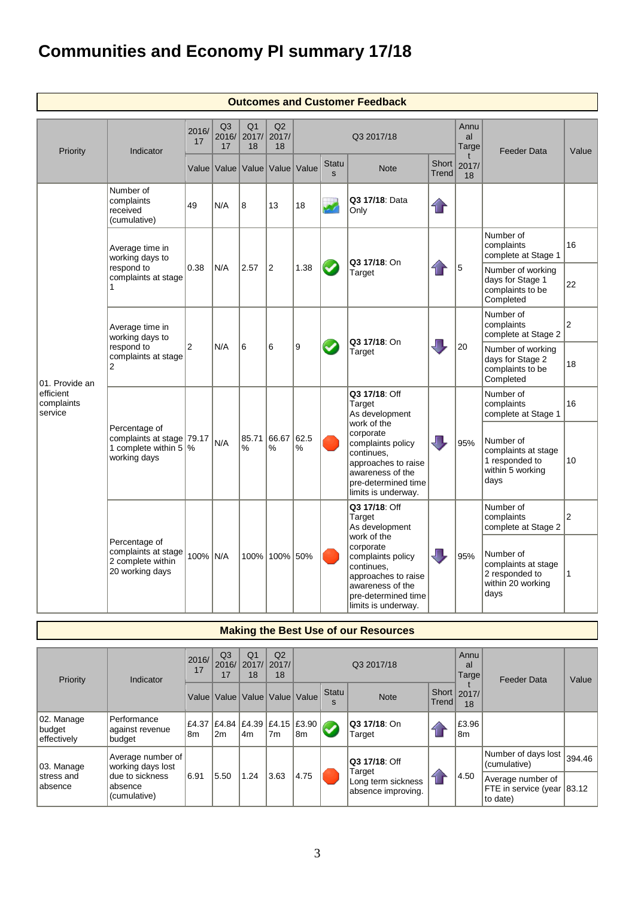# **Communities and Economy PI summary 17/18**

|                                    | <b>Outcomes and Customer Feedback</b>                                                          |                |                               |                               |                   |           |                       |                                                                                                                                                      |                  |                                     |                                                                                 |                |  |
|------------------------------------|------------------------------------------------------------------------------------------------|----------------|-------------------------------|-------------------------------|-------------------|-----------|-----------------------|------------------------------------------------------------------------------------------------------------------------------------------------------|------------------|-------------------------------------|---------------------------------------------------------------------------------|----------------|--|
| Priority                           | Indicator                                                                                      | 2016/<br>17    | Q <sub>3</sub><br>2016/<br>17 | Q <sub>1</sub><br>2017/<br>18 | Q2<br>2017/<br>18 |           |                       | Q3 2017/18                                                                                                                                           |                  | Annu<br>al<br>Targe<br>$\mathbf{t}$ | Feeder Data                                                                     | Value          |  |
|                                    |                                                                                                | Value          |                               | Value   Value   Value   Value |                   |           | Statu<br>$\mathbf{s}$ | <b>Note</b>                                                                                                                                          | Short  <br>Trend | 2017/<br>18                         |                                                                                 |                |  |
|                                    | Number of<br>complaints<br>received<br>(cumulative)                                            | 49             | N/A                           | 8                             | 13                | 18        |                       | Q3 17/18: Data<br>Only                                                                                                                               |                  |                                     |                                                                                 |                |  |
|                                    | Average time in<br>working days to                                                             |                |                               |                               |                   |           |                       | Q3 17/18: On                                                                                                                                         |                  |                                     | Number of<br>complaints<br>complete at Stage 1                                  | 16             |  |
|                                    | respond to<br>complaints at stage<br>$\mathbf{1}$                                              | 0.38           | N/A                           | 2.57                          | 2                 | 1.38      | $\checkmark$          | Target                                                                                                                                               |                  | 5                                   | Number of working<br>days for Stage 1<br>complaints to be<br>Completed          | 22             |  |
| 01. Provide an                     | Average time in<br>working days to                                                             |                |                               | 6                             |                   |           |                       | Q3 17/18: On                                                                                                                                         |                  |                                     | Number of<br>complaints<br>complete at Stage 2                                  | $\overline{2}$ |  |
|                                    | respond to<br>complaints at stage<br>$\overline{2}$                                            | $\overline{2}$ | N/A                           |                               | 6                 | 9         |                       | Target                                                                                                                                               |                  | 20                                  | Number of working<br>days for Stage 2<br>complaints to be<br>Completed          | 18             |  |
| efficient<br>complaints<br>service |                                                                                                |                |                               |                               |                   |           |                       | Q3 17/18: Off<br>Target<br>As development                                                                                                            |                  |                                     | Number of<br>complaints<br>complete at Stage 1                                  | 16             |  |
|                                    | Percentage of<br>complaints at stage 79.17<br>1 complete within $5\frac{1}{6}$<br>working days |                | N/A                           | 85.71<br>℅                    | 66.67<br>%        | 62.5<br>℅ |                       | work of the<br>corporate<br>complaints policy<br>continues.<br>approaches to raise<br>awareness of the<br>pre-determined time<br>limits is underway. | П,               | 95%                                 | Number of<br>complaints at stage<br>1 responded to<br>within 5 working<br>days  | 10             |  |
|                                    |                                                                                                |                |                               |                               |                   |           |                       | Q3 17/18: Off<br>Target<br>As development                                                                                                            |                  |                                     | Number of<br>complaints<br>complete at Stage 2                                  | $\overline{2}$ |  |
|                                    | Percentage of<br>complaints at stage<br>2 complete within<br>20 working days                   | 100% N/A       |                               |                               | 100% 100% 50%     |           |                       | work of the<br>corporate<br>complaints policy<br>continues.<br>approaches to raise<br>awareness of the<br>pre-determined time<br>limits is underway. |                  | 95%                                 | Number of<br>complaints at stage<br>2 responded to<br>within 20 working<br>days | 1              |  |

**Making the Best Use of our Resources**

| Priority                             | Indicator                                  | 2016/<br>17    | Q <sub>3</sub><br>2016/<br>17         | Q <sub>1</sub><br>2017/<br>18 | Q2<br>2017/<br>18 |      |                             | Q3 2017/18                               |                    | Annu<br>al<br>Targe | Feeder Data                                                   | Value  |
|--------------------------------------|--------------------------------------------|----------------|---------------------------------------|-------------------------------|-------------------|------|-----------------------------|------------------------------------------|--------------------|---------------------|---------------------------------------------------------------|--------|
|                                      |                                            |                | Value   Value   Value   Value   Value |                               |                   |      | <b>Statu</b><br><b>Note</b> |                                          | Short $ $<br>Trend | 2017/<br>18         |                                                               |        |
| 02. Manage<br> budget<br>effectively | Performance<br>against revenue<br>budget   | 8 <sub>m</sub> | E4.37 E4.84 E4.39 E4.15 E3.90 <br>2m  | l4m                           | 7m                | l8m  |                             | Q3 17/18: On<br>Target                   |                    | £3.96<br>8m         |                                                               |        |
| 103. Manage                          | Average number of<br>working days lost     |                |                                       |                               |                   |      |                             | Q3 17/18: Off<br>Target                  |                    |                     | Number of days lost<br>(cumulative)                           | 394.46 |
| stress and<br>labsence               | due to sickness<br>absence<br>(cumulative) | 6.91           | 5.50                                  | 1.24                          | 3.63              | 4.75 |                             | Long term sickness<br>absence improving. |                    | 4.50                | Average number of<br>FTE in service (year   83.12<br>to date) |        |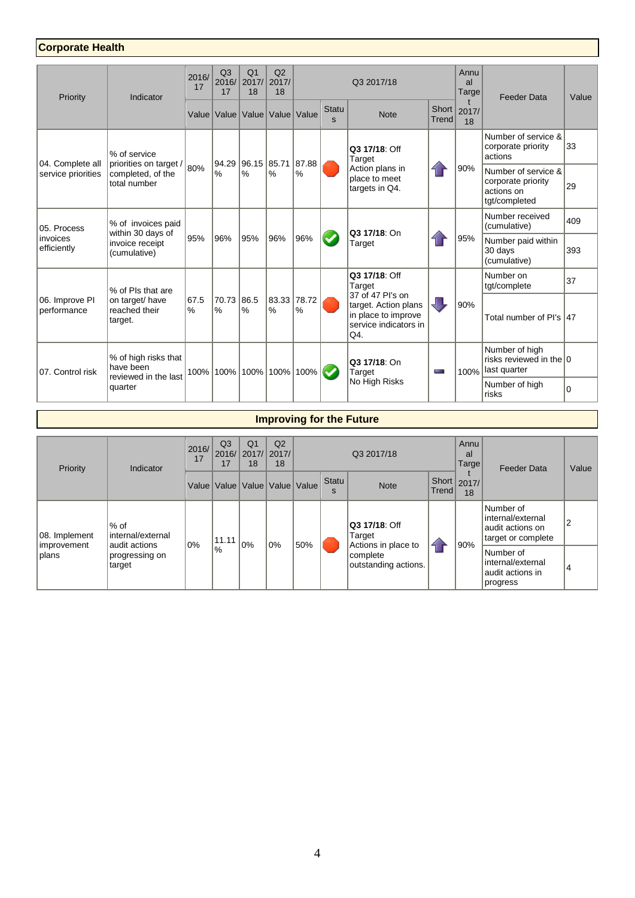### **Corporate Health**

| Priority                      | Indicator                                                 | 2016/<br>17  | Q <sub>3</sub><br>2016/<br>17         | Q <sub>1</sub><br>2017/<br>18 | Q2<br>2017/<br>18      |            |                   | Q3 2017/18                                                                                      |                | Annu<br>al<br><b>Targe</b> | <b>Feeder Data</b>                                                       | Value |
|-------------------------------|-----------------------------------------------------------|--------------|---------------------------------------|-------------------------------|------------------------|------------|-------------------|-------------------------------------------------------------------------------------------------|----------------|----------------------------|--------------------------------------------------------------------------|-------|
|                               |                                                           |              | Value   Value   Value   Value   Value |                               |                        |            | <b>Statu</b><br>S | <b>Note</b>                                                                                     | Short<br>Trend | 2017/<br>18                |                                                                          |       |
| 04. Complete all              | % of service<br>priorities on target /                    |              | 94.29                                 | 96.15 85.71                   |                        | 87.88      |                   | Q3 17/18: Off<br>Target                                                                         |                |                            | Number of service &<br>corporate priority<br>actions                     | 33    |
| service priorities            | completed, of the<br>total number                         | 80%          | $\%$                                  | $\frac{0}{0}$                 | $\frac{0}{0}$          | $\%$       |                   | Action plans in<br>place to meet<br>targets in Q4.                                              | 1 F            | 90%                        | Number of service &<br>corporate priority<br>actions on<br>tgt/completed | 29    |
| 05. Process                   | % of invoices paid<br>within 30 days of                   |              |                                       |                               |                        |            |                   | Q3 17/18: On                                                                                    |                |                            | Number received<br>(cumulative)                                          | 409   |
| invoices<br>efficiently       | invoice receipt<br>(cumulative)                           | 95%          | 96%                                   | 95%                           | 96%                    | 96%        |                   | Target                                                                                          | 1 P            | 95%                        | Number paid within<br>30 days<br>(cumulative)                            | 393   |
|                               | % of PIs that are                                         |              |                                       |                               |                        |            |                   | Q3 17/18: Off<br>Target                                                                         |                |                            | Number on<br>tgt/complete                                                | 37    |
| 06. Improve PI<br>performance | on target/have<br>reached their<br>target.                | 67.5<br>$\%$ | 70.73<br>%                            | 86.5<br>$\%$                  | 83.33<br>$\frac{0}{0}$ | 78.72<br>% |                   | 37 of 47 PI's on<br>target. Action plans<br>in place to improve<br>service indicators in<br>Q4. | JĻ             | 90%                        | Total number of PI's 47                                                  |       |
| 07. Control risk              | % of high risks that<br>have been<br>reviewed in the last | 100%         |                                       |                               | 100% 100% 100% 100%    |            |                   | Q3 17/18: On<br>Target                                                                          | and the con-   | 100%                       | Number of high<br>risks reviewed in the 0<br>last quarter                |       |
|                               | quarter                                                   |              |                                       |                               |                        |            |                   | No High Risks                                                                                   |                |                            | Number of high<br>risks                                                  | 0     |

### **Improving for the Future**

| Priority              | Indicator                                 | 2016/<br>17 | Q <sub>3</sub><br>2016/<br>17         | Q <sub>1</sub><br>2017/2017/<br>18 | Q2<br>18 |     |                   | Q3 2017/18                                              |                      | Annu<br>al<br>Targe | Feeder Data                                                               | Value |
|-----------------------|-------------------------------------------|-------------|---------------------------------------|------------------------------------|----------|-----|-------------------|---------------------------------------------------------|----------------------|---------------------|---------------------------------------------------------------------------|-------|
|                       |                                           |             | Value   Value   Value   Value   Value |                                    |          |     | <b>Statu</b><br>S | <b>Note</b>                                             | Short 2017/<br>Trend | 18                  |                                                                           |       |
| 08. Implement         | $\%$ of<br>internal/external              |             | 11.11                                 | 0%                                 | 0%       |     |                   | Q3 17/18: Off<br>Target                                 |                      |                     | Number of<br>linternal/external<br>audit actions on<br>target or complete | 2     |
| improvement<br> plans | audit actions<br>progressing on<br>target | 0%          | %ا                                    |                                    |          | 50% |                   | Actions in place to<br>complete<br>outstanding actions. |                      | 90%                 | Number of<br>internal/external<br>audit actions in<br>progress            | 4     |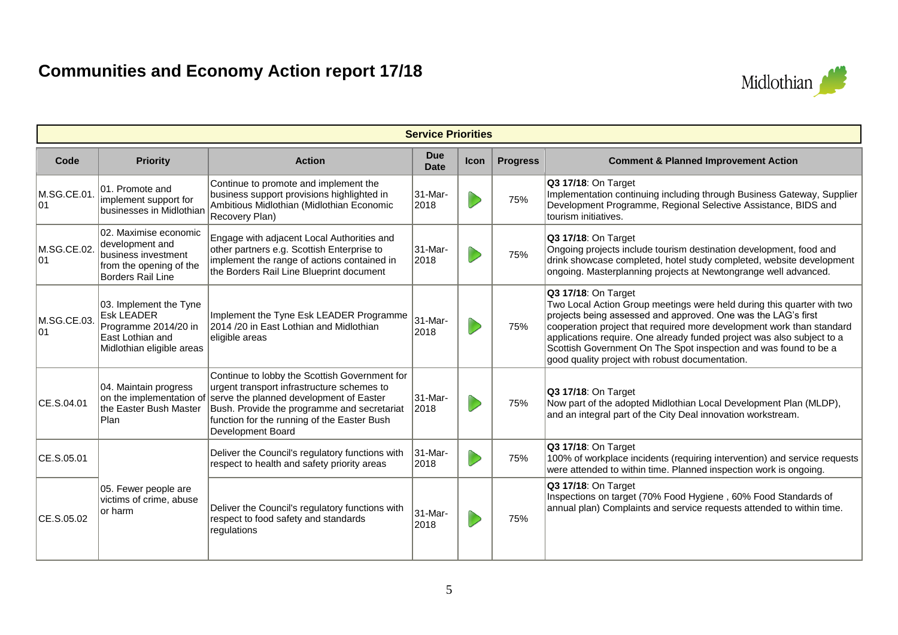# **Communities and Economy Action report 17/18**



|                   |                                                                                                                      |                                                                                                                                                                                                                                                           | <b>Service Priorities</b> |             |                 |                                                                                                                                                                                                                                                                                                                                                                                                                                          |
|-------------------|----------------------------------------------------------------------------------------------------------------------|-----------------------------------------------------------------------------------------------------------------------------------------------------------------------------------------------------------------------------------------------------------|---------------------------|-------------|-----------------|------------------------------------------------------------------------------------------------------------------------------------------------------------------------------------------------------------------------------------------------------------------------------------------------------------------------------------------------------------------------------------------------------------------------------------------|
| Code              | <b>Priority</b>                                                                                                      | <b>Action</b>                                                                                                                                                                                                                                             | <b>Due</b><br><b>Date</b> | <b>Icon</b> | <b>Progress</b> | <b>Comment &amp; Planned Improvement Action</b>                                                                                                                                                                                                                                                                                                                                                                                          |
| M.SG.CE.01<br>101 | 101. Promote and<br>implement support for<br>businesses in Midlothian                                                | Continue to promote and implement the<br>business support provisions highlighted in<br>Ambitious Midlothian (Midlothian Economic<br>Recovery Plan)                                                                                                        | 31-Mar-<br>2018           |             | 75%             | Q3 17/18: On Target<br>Implementation continuing including through Business Gateway, Supplier<br>Development Programme, Regional Selective Assistance, BIDS and<br>tourism initiatives.                                                                                                                                                                                                                                                  |
| M.SG.CE.02<br>101 | 02. Maximise economic<br>development and<br>business investment<br>from the opening of the<br>Borders Rail Line      | Engage with adjacent Local Authorities and<br>other partners e.g. Scottish Enterprise to<br>implement the range of actions contained in<br>the Borders Rail Line Blueprint document                                                                       | 31-Mar-<br>2018           |             | 75%             | <b>Q3 17/18: On Target</b><br>Ongoing projects include tourism destination development, food and<br>drink showcase completed, hotel study completed, website development<br>ongoing. Masterplanning projects at Newtongrange well advanced.                                                                                                                                                                                              |
| M.SG.CE.03<br>101 | 03. Implement the Tyne<br><b>Esk LEADER</b><br>Programme 2014/20 in<br>East Lothian and<br>Midlothian eligible areas | Implement the Tyne Esk LEADER Programme<br>2014 /20 in East Lothian and Midlothian<br>eligible areas                                                                                                                                                      | 31-Mar-<br>2018           |             | 75%             | Q3 17/18: On Target<br>Two Local Action Group meetings were held during this quarter with two<br>projects being assessed and approved. One was the LAG's first<br>cooperation project that required more development work than standard<br>applications require. One already funded project was also subject to a<br>Scottish Government On The Spot inspection and was found to be a<br>good quality project with robust documentation. |
| CE.S.04.01        | 04. Maintain progress<br>on the implementation of<br>the Easter Bush Master<br>Plan                                  | Continue to lobby the Scottish Government for<br>urgent transport infrastructure schemes to<br>serve the planned development of Easter<br>Bush. Provide the programme and secretariat<br>function for the running of the Easter Bush<br>Development Board | 31-Mar-<br>2018           |             | 75%             | Q3 17/18: On Target<br>Now part of the adopted Midlothian Local Development Plan (MLDP),<br>and an integral part of the City Deal innovation workstream.                                                                                                                                                                                                                                                                                 |
| CE.S.05.01        |                                                                                                                      | Deliver the Council's regulatory functions with<br>respect to health and safety priority areas                                                                                                                                                            | 31-Mar-<br>2018           |             | 75%             | Q3 17/18: On Target<br>100% of workplace incidents (requiring intervention) and service requests<br>were attended to within time. Planned inspection work is ongoing.                                                                                                                                                                                                                                                                    |
| CE.S.05.02        | 05. Fewer people are<br>victims of crime, abuse<br>lor harm                                                          | Deliver the Council's regulatory functions with<br>respect to food safety and standards<br>regulations                                                                                                                                                    | 31-Mar-<br>2018           |             | 75%             | <b>Q3 17/18: On Target</b><br>Inspections on target (70% Food Hygiene, 60% Food Standards of<br>annual plan) Complaints and service requests attended to within time.                                                                                                                                                                                                                                                                    |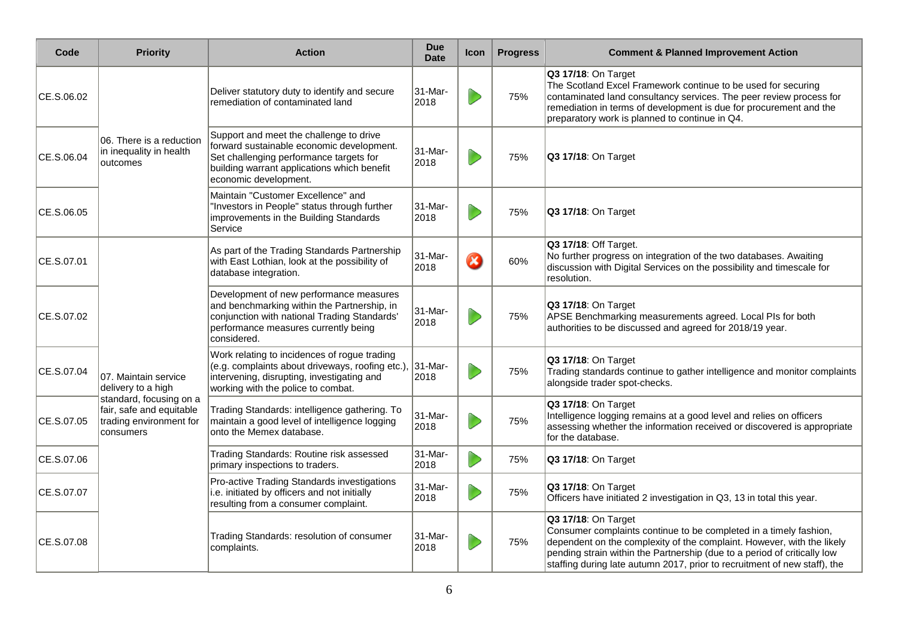| Code       | <b>Priority</b>                                                                             | <b>Action</b>                                                                                                                                                                                           | <b>Due</b><br><b>Date</b> | <b>Icon</b>           | <b>Progress</b> | <b>Comment &amp; Planned Improvement Action</b>                                                                                                                                                                                                                                                                             |
|------------|---------------------------------------------------------------------------------------------|---------------------------------------------------------------------------------------------------------------------------------------------------------------------------------------------------------|---------------------------|-----------------------|-----------------|-----------------------------------------------------------------------------------------------------------------------------------------------------------------------------------------------------------------------------------------------------------------------------------------------------------------------------|
| CE.S.06.02 |                                                                                             | Deliver statutory duty to identify and secure<br>remediation of contaminated land                                                                                                                       | 31-Mar-<br>2018           |                       | 75%             | Q3 17/18: On Target<br>The Scotland Excel Framework continue to be used for securing<br>contaminated land consultancy services. The peer review process for<br>remediation in terms of development is due for procurement and the<br>preparatory work is planned to continue in Q4.                                         |
| CE.S.06.04 | 06. There is a reduction<br>in inequality in health<br>outcomes                             | Support and meet the challenge to drive<br>forward sustainable economic development.<br>Set challenging performance targets for<br>building warrant applications which benefit<br>economic development. | 31-Mar-<br>2018           |                       | 75%             | Q3 17/18: On Target                                                                                                                                                                                                                                                                                                         |
| CE.S.06.05 |                                                                                             | Maintain "Customer Excellence" and<br>"Investors in People" status through further<br>improvements in the Building Standards<br>Service                                                                 | 31-Mar-<br>2018           |                       | 75%             | Q3 17/18: On Target                                                                                                                                                                                                                                                                                                         |
| CE.S.07.01 |                                                                                             | As part of the Trading Standards Partnership<br>with East Lothian, look at the possibility of<br>database integration.                                                                                  | 31-Mar-<br>2018           | $\boldsymbol{\Omega}$ | 60%             | Q3 17/18: Off Target.<br>No further progress on integration of the two databases. Awaiting<br>discussion with Digital Services on the possibility and timescale for<br>resolution.                                                                                                                                          |
| CE.S.07.02 |                                                                                             | Development of new performance measures<br>and benchmarking within the Partnership, in<br>conjunction with national Trading Standards'<br>performance measures currently being<br>considered.           | 31-Mar-<br>2018           |                       | 75%             | Q3 17/18: On Target<br>APSE Benchmarking measurements agreed. Local PIs for both<br>authorities to be discussed and agreed for 2018/19 year.                                                                                                                                                                                |
| CE.S.07.04 | 07. Maintain service<br>delivery to a high                                                  | Work relating to incidences of rogue trading<br>(e.g. complaints about driveways, roofing etc.), 31-Mar-<br>intervening, disrupting, investigating and<br>working with the police to combat.            | 2018                      |                       | 75%             | Q3 17/18: On Target<br>Trading standards continue to gather intelligence and monitor complaints<br>alongside trader spot-checks.                                                                                                                                                                                            |
| CE.S.07.05 | standard, focusing on a<br>fair, safe and equitable<br>trading environment for<br>consumers | Trading Standards: intelligence gathering. To<br>maintain a good level of intelligence logging<br>onto the Memex database.                                                                              | 31-Mar-<br>2018           | D                     | 75%             | Q3 17/18: On Target<br>Intelligence logging remains at a good level and relies on officers<br>assessing whether the information received or discovered is appropriate<br>for the database.                                                                                                                                  |
| CE.S.07.06 |                                                                                             | Trading Standards: Routine risk assessed<br>primary inspections to traders.                                                                                                                             | 31-Mar-<br>2018           |                       | 75%             | Q3 17/18: On Target                                                                                                                                                                                                                                                                                                         |
| CE.S.07.07 |                                                                                             | Pro-active Trading Standards investigations<br>i.e. initiated by officers and not initially<br>resulting from a consumer complaint.                                                                     | 31-Mar-<br>2018           |                       | 75%             | Q3 17/18: On Target<br>Officers have initiated 2 investigation in Q3, 13 in total this year.                                                                                                                                                                                                                                |
| CE.S.07.08 |                                                                                             | Trading Standards: resolution of consumer<br>complaints.                                                                                                                                                | 31-Mar-<br>2018           |                       | 75%             | Q3 17/18: On Target<br>Consumer complaints continue to be completed in a timely fashion,<br>dependent on the complexity of the complaint. However, with the likely<br>pending strain within the Partnership (due to a period of critically low<br>staffing during late autumn 2017, prior to recruitment of new staff), the |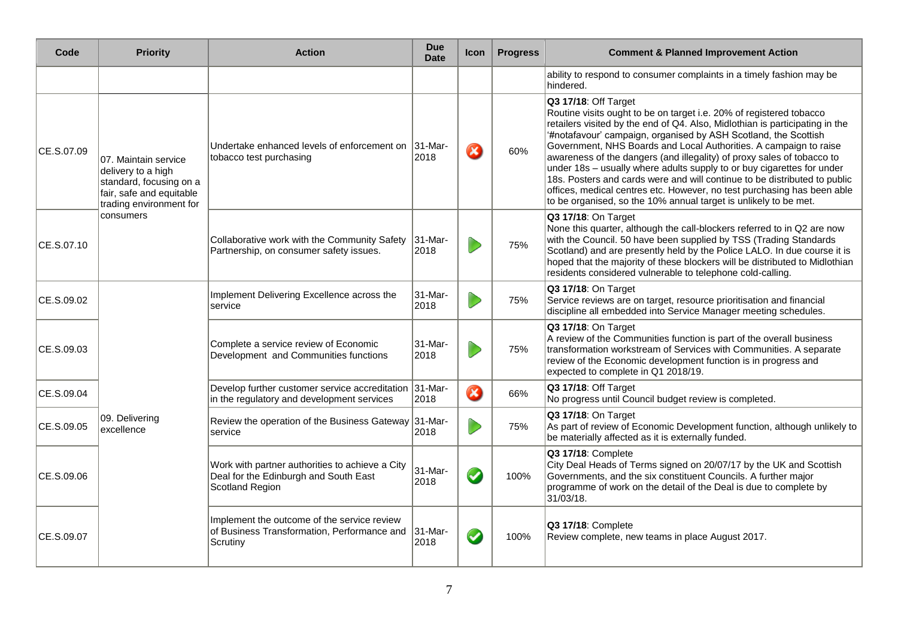| Code       | <b>Priority</b>                                                                                                              | <b>Action</b>                                                                                               | <b>Due</b><br><b>Date</b> | <b>Icon</b>               | <b>Progress</b> | <b>Comment &amp; Planned Improvement Action</b>                                                                                                                                                                                                                                                                                                                                                                                                                                                                                                                                                                                                                                                     |
|------------|------------------------------------------------------------------------------------------------------------------------------|-------------------------------------------------------------------------------------------------------------|---------------------------|---------------------------|-----------------|-----------------------------------------------------------------------------------------------------------------------------------------------------------------------------------------------------------------------------------------------------------------------------------------------------------------------------------------------------------------------------------------------------------------------------------------------------------------------------------------------------------------------------------------------------------------------------------------------------------------------------------------------------------------------------------------------------|
|            |                                                                                                                              |                                                                                                             |                           |                           |                 | ability to respond to consumer complaints in a timely fashion may be<br>hindered.                                                                                                                                                                                                                                                                                                                                                                                                                                                                                                                                                                                                                   |
| CE.S.07.09 | 07. Maintain service<br>delivery to a high<br>standard, focusing on a<br>fair, safe and equitable<br>trading environment for | Undertake enhanced levels of enforcement on  31-Mar-<br>tobacco test purchasing                             | 2018                      | $\boldsymbol{\mathsf{x}}$ | 60%             | Q3 17/18: Off Target<br>Routine visits ought to be on target i.e. 20% of registered tobacco<br>retailers visited by the end of Q4. Also, Midlothian is participating in the<br>'#notafavour' campaign, organised by ASH Scotland, the Scottish<br>Government, NHS Boards and Local Authorities. A campaign to raise<br>awareness of the dangers (and illegality) of proxy sales of tobacco to<br>under 18s - usually where adults supply to or buy cigarettes for under<br>18s. Posters and cards were and will continue to be distributed to public<br>offices, medical centres etc. However, no test purchasing has been able<br>to be organised, so the 10% annual target is unlikely to be met. |
| CE.S.07.10 | consumers                                                                                                                    | Collaborative work with the Community Safety 31-Mar-<br>Partnership, on consumer safety issues.             | 2018                      |                           | 75%             | Q3 17/18: On Target<br>None this quarter, although the call-blockers referred to in Q2 are now<br>with the Council. 50 have been supplied by TSS (Trading Standards<br>Scotland) and are presently held by the Police LALO. In due course it is<br>hoped that the majority of these blockers will be distributed to Midlothian<br>residents considered vulnerable to telephone cold-calling.                                                                                                                                                                                                                                                                                                        |
| CE.S.09.02 |                                                                                                                              | Implement Delivering Excellence across the<br>service                                                       | 31-Mar-<br>2018           |                           | 75%             | Q3 17/18: On Target<br>Service reviews are on target, resource prioritisation and financial<br>discipline all embedded into Service Manager meeting schedules.                                                                                                                                                                                                                                                                                                                                                                                                                                                                                                                                      |
| CE.S.09.03 |                                                                                                                              | Complete a service review of Economic<br>Development and Communities functions                              | 31-Mar-<br>2018           |                           | 75%             | Q3 17/18: On Target<br>A review of the Communities function is part of the overall business<br>transformation workstream of Services with Communities. A separate<br>review of the Economic development function is in progress and<br>expected to complete in Q1 2018/19.                                                                                                                                                                                                                                                                                                                                                                                                                          |
| CE.S.09.04 |                                                                                                                              | Develop further customer service accreditation 31-Mar-<br>in the regulatory and development services        | 2018                      | Ø                         | 66%             | Q3 17/18: Off Target<br>No progress until Council budget review is completed.                                                                                                                                                                                                                                                                                                                                                                                                                                                                                                                                                                                                                       |
| CE.S.09.05 | 09. Delivering<br>excellence                                                                                                 | Review the operation of the Business Gateway 31-Mar-<br>service                                             | 2018                      |                           | 75%             | Q3 17/18: On Target<br>As part of review of Economic Development function, although unlikely to<br>be materially affected as it is externally funded.                                                                                                                                                                                                                                                                                                                                                                                                                                                                                                                                               |
| CE.S.09.06 |                                                                                                                              | Work with partner authorities to achieve a City<br>Deal for the Edinburgh and South East<br>Scotland Region | 31-Mar-<br>2018           | $\blacklozenge$           | 100%            | Q3 17/18: Complete<br>City Deal Heads of Terms signed on 20/07/17 by the UK and Scottish<br>Governments, and the six constituent Councils. A further major<br>programme of work on the detail of the Deal is due to complete by<br>31/03/18.                                                                                                                                                                                                                                                                                                                                                                                                                                                        |
| CE.S.09.07 |                                                                                                                              | Implement the outcome of the service review<br>of Business Transformation, Performance and<br>Scrutiny      | $ 31-Mar-$<br>2018        | $\blacktriangledown$      | 100%            | Q3 17/18: Complete<br>Review complete, new teams in place August 2017.                                                                                                                                                                                                                                                                                                                                                                                                                                                                                                                                                                                                                              |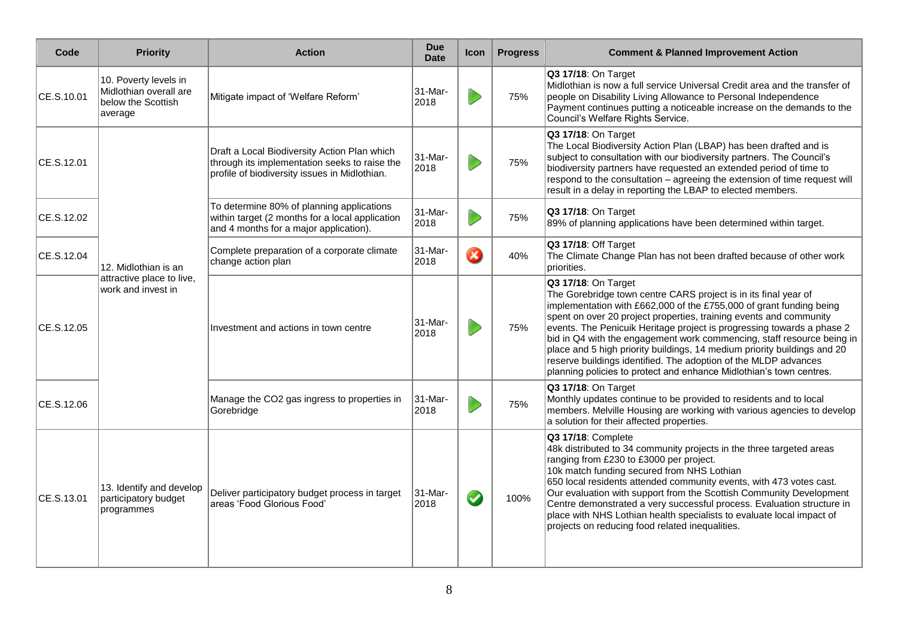| Code       | <b>Priority</b>                                                                  | <b>Action</b>                                                                                                                                  | <b>Due</b><br><b>Date</b> | <b>Icon</b>           | <b>Progress</b> | <b>Comment &amp; Planned Improvement Action</b>                                                                                                                                                                                                                                                                                                                                                                                                                                                                                                                                                               |
|------------|----------------------------------------------------------------------------------|------------------------------------------------------------------------------------------------------------------------------------------------|---------------------------|-----------------------|-----------------|---------------------------------------------------------------------------------------------------------------------------------------------------------------------------------------------------------------------------------------------------------------------------------------------------------------------------------------------------------------------------------------------------------------------------------------------------------------------------------------------------------------------------------------------------------------------------------------------------------------|
| CE.S.10.01 | 10. Poverty levels in<br>Midlothian overall are<br>below the Scottish<br>average | Mitigate impact of 'Welfare Reform'                                                                                                            | 31-Mar-<br>2018           |                       | 75%             | Q3 17/18: On Target<br>Midlothian is now a full service Universal Credit area and the transfer of<br>people on Disability Living Allowance to Personal Independence<br>Payment continues putting a noticeable increase on the demands to the<br>Council's Welfare Rights Service.                                                                                                                                                                                                                                                                                                                             |
| CE.S.12.01 |                                                                                  | Draft a Local Biodiversity Action Plan which<br>through its implementation seeks to raise the<br>profile of biodiversity issues in Midlothian. | 31-Mar-<br>2018           |                       | 75%             | Q3 17/18: On Target<br>The Local Biodiversity Action Plan (LBAP) has been drafted and is<br>subject to consultation with our biodiversity partners. The Council's<br>biodiversity partners have requested an extended period of time to<br>respond to the consultation - agreeing the extension of time request will<br>result in a delay in reporting the LBAP to elected members.                                                                                                                                                                                                                           |
| CE.S.12.02 |                                                                                  | To determine 80% of planning applications<br>within target (2 months for a local application<br>and 4 months for a major application).         | 31-Mar-<br>2018           |                       | 75%             | Q3 17/18: On Target<br>89% of planning applications have been determined within target.                                                                                                                                                                                                                                                                                                                                                                                                                                                                                                                       |
| CE.S.12.04 | 12. Midlothian is an                                                             | Complete preparation of a corporate climate<br>change action plan                                                                              | 31-Mar-<br>2018           | $\boldsymbol{\omega}$ | 40%             | Q3 17/18: Off Target<br>The Climate Change Plan has not been drafted because of other work<br>priorities.                                                                                                                                                                                                                                                                                                                                                                                                                                                                                                     |
| CE.S.12.05 | attractive place to live,<br>work and invest in                                  | Investment and actions in town centre                                                                                                          | 31-Mar-<br>2018           |                       | 75%             | Q3 17/18: On Target<br>The Gorebridge town centre CARS project is in its final year of<br>implementation with £662,000 of the £755,000 of grant funding being<br>spent on over 20 project properties, training events and community<br>events. The Penicuik Heritage project is progressing towards a phase 2<br>bid in Q4 with the engagement work commencing, staff resource being in<br>place and 5 high priority buildings, 14 medium priority buildings and 20<br>reserve buildings identified. The adoption of the MLDP advances<br>planning policies to protect and enhance Midlothian's town centres. |
| CE.S.12.06 |                                                                                  | Manage the CO2 gas ingress to properties in<br>Gorebridge                                                                                      | 31-Mar-<br>2018           |                       | 75%             | Q3 17/18: On Target<br>Monthly updates continue to be provided to residents and to local<br>members. Melville Housing are working with various agencies to develop<br>a solution for their affected properties.                                                                                                                                                                                                                                                                                                                                                                                               |
| CE.S.13.01 | 13. Identify and develop<br>participatory budget<br>programmes                   | Deliver participatory budget process in target<br>areas 'Food Glorious Food'                                                                   | 31-Mar-<br>2018           | $\bullet$             | 100%            | Q3 17/18: Complete<br>48k distributed to 34 community projects in the three targeted areas<br>ranging from £230 to £3000 per project.<br>10k match funding secured from NHS Lothian<br>650 local residents attended community events, with 473 votes cast.<br>Our evaluation with support from the Scottish Community Development<br>Centre demonstrated a very successful process. Evaluation structure in<br>place with NHS Lothian health specialists to evaluate local impact of<br>projects on reducing food related inequalities.                                                                       |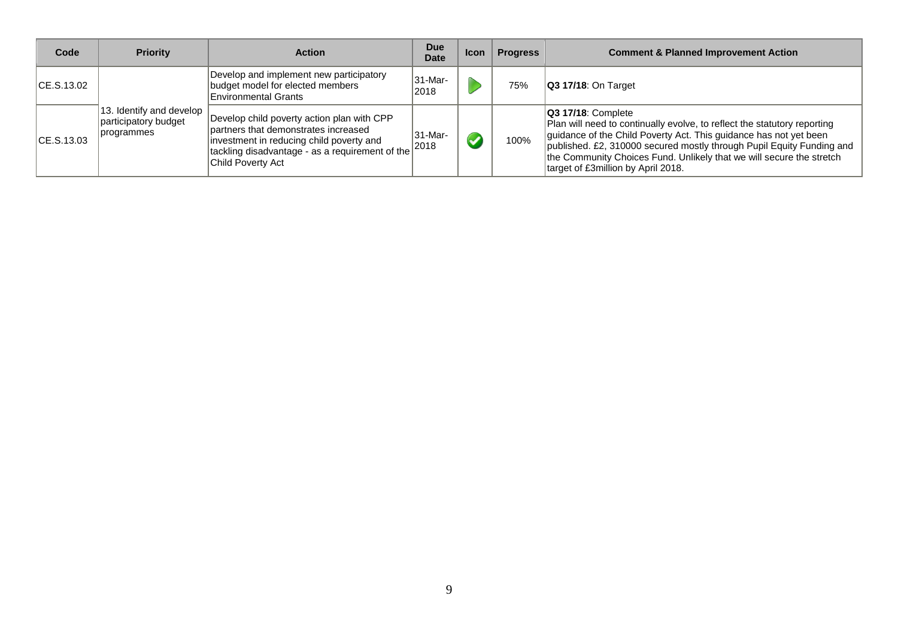| Code       | <b>Priority</b>                                                | <b>Action</b>                                                                                                                                                                                          | <b>Due</b><br><b>Date</b> | <b>Icon</b> | <b>Progress</b> | <b>Comment &amp; Planned Improvement Action</b>                                                                                                                                                                                                                                                                                                                   |
|------------|----------------------------------------------------------------|--------------------------------------------------------------------------------------------------------------------------------------------------------------------------------------------------------|---------------------------|-------------|-----------------|-------------------------------------------------------------------------------------------------------------------------------------------------------------------------------------------------------------------------------------------------------------------------------------------------------------------------------------------------------------------|
| CE.S.13.02 |                                                                | Develop and implement new participatory<br>budget model for elected members<br>Environmental Grants                                                                                                    | 31-Mar-<br>2018           |             | 75%             | <b>Q3 17/18: On Target</b>                                                                                                                                                                                                                                                                                                                                        |
| CE.S.13.03 | 13. Identify and develop<br>participatory budget<br>programmes | Develop child poverty action plan with CPP<br>Dartners that demonstrates increased<br>investment in reducing child poverty and<br>tackling disadvantage - as a requirement of the<br>Child Poverty Act | 31-Mar-<br>2018           |             | 100%            | <b>Q3 17/18: Complete</b><br>Plan will need to continually evolve, to reflect the statutory reporting<br>guidance of the Child Poverty Act. This guidance has not yet been<br>published. £2, 310000 secured mostly through Pupil Equity Funding and<br>the Community Choices Fund. Unlikely that we will secure the stretch<br>target of £3million by April 2018. |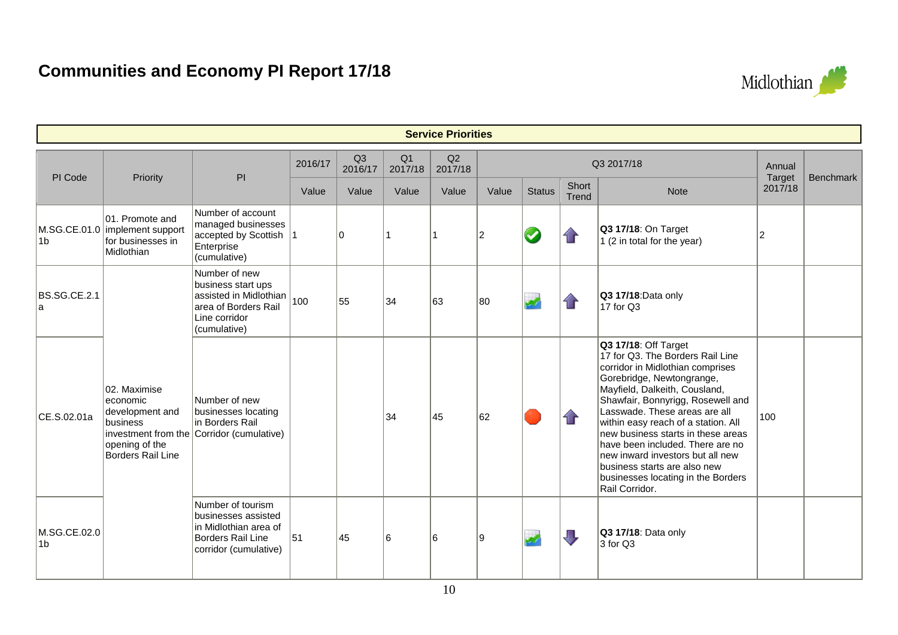

|                                |                                                                                                 |                                                                                                                            |         |               |                           | <b>Service Priorities</b> |       |               |                |                                                                                                                                                                                                                                                                                                                                                                                                                                                                               |                   |                  |
|--------------------------------|-------------------------------------------------------------------------------------------------|----------------------------------------------------------------------------------------------------------------------------|---------|---------------|---------------------------|---------------------------|-------|---------------|----------------|-------------------------------------------------------------------------------------------------------------------------------------------------------------------------------------------------------------------------------------------------------------------------------------------------------------------------------------------------------------------------------------------------------------------------------------------------------------------------------|-------------------|------------------|
| PI Code                        |                                                                                                 | PI                                                                                                                         | 2016/17 | Q3<br>2016/17 | Q <sub>1</sub><br>2017/18 | Q2<br>2017/18             |       |               |                | Q3 2017/18                                                                                                                                                                                                                                                                                                                                                                                                                                                                    | Annual            | <b>Benchmark</b> |
|                                | Priority                                                                                        |                                                                                                                            | Value   | Value         | Value                     | Value                     | Value | <b>Status</b> | Short<br>Trend | <b>Note</b>                                                                                                                                                                                                                                                                                                                                                                                                                                                                   | Target<br>2017/18 |                  |
| 1 <sub>b</sub>                 | 01. Promote and<br>M.SG.CE.01.0   implement support<br>for businesses in<br>Midlothian          | Number of account<br>managed businesses<br>accepted by Scottish  1<br>Enterprise<br>(cumulative)                           |         | 10            |                           |                           | 2     |               | 1 N            | Q3 17/18: On Target<br>1 (2 in total for the year)                                                                                                                                                                                                                                                                                                                                                                                                                            | 2                 |                  |
| <b>BS.SG.CE.2.1</b><br>۱a      |                                                                                                 | Number of new<br>business start ups<br>assisted in Midlothian 100<br>area of Borders Rail<br>Line corridor<br>(cumulative) |         | 55            | 34                        | 63                        | 80    |               | 1 F            | Q3 17/18: Data only<br>17 for Q3                                                                                                                                                                                                                                                                                                                                                                                                                                              |                   |                  |
| CE.S.02.01a                    | 02. Maximise<br>leconomic<br>development and<br>business<br>opening of the<br>Borders Rail Line | Number of new<br>businesses locating<br>in Borders Rail<br>investment from the Corridor (cumulative)                       |         |               | 34                        | 45                        | 62    |               |                | Q3 17/18: Off Target<br>17 for Q3. The Borders Rail Line<br>corridor in Midlothian comprises<br>Gorebridge, Newtongrange,<br>Mayfield, Dalkeith, Cousland,<br>Shawfair, Bonnyrigg, Rosewell and<br>Lasswade. These areas are all<br>within easy reach of a station. All<br>new business starts in these areas<br>have been included. There are no<br>new inward investors but all new<br>business starts are also new<br>businesses locating in the Borders<br>Rail Corridor. | 100               |                  |
| M.SG.CE.02.0<br>1 <sub>b</sub> |                                                                                                 | Number of tourism<br>businesses assisted<br>in Midlothian area of<br>Borders Rail Line<br>corridor (cumulative)            | 51      | 45            | 16                        | 6                         | ا 9   |               |                | Q3 17/18: Data only<br>3 for Q3                                                                                                                                                                                                                                                                                                                                                                                                                                               |                   |                  |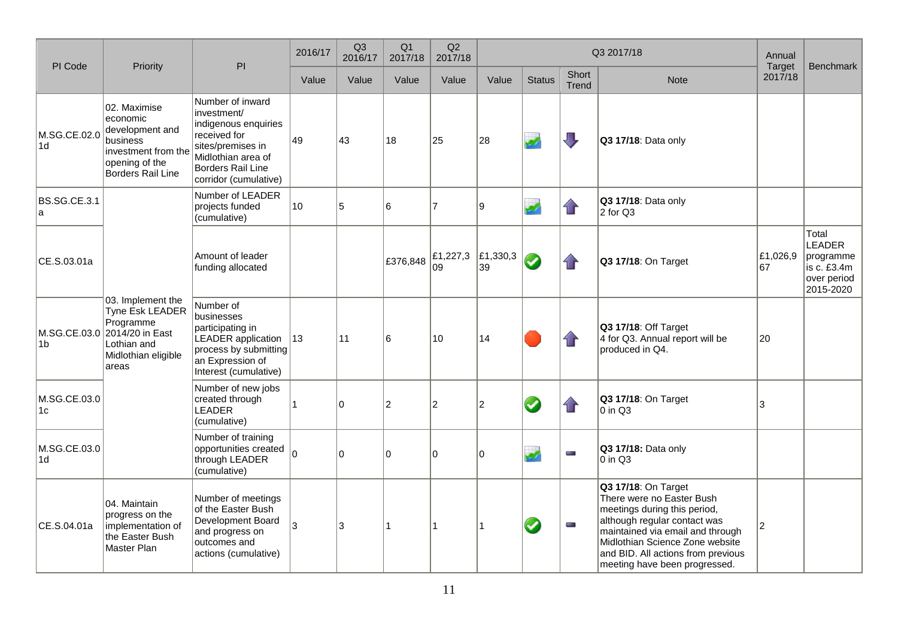|                            |                                                                                                                                  |                                                                                                                                                                         | 2016/17 | Q3<br>2016/17 | Q <sub>1</sub><br>2017/18 | Q2<br>2017/18  |                        |                      |                         | Q3 2017/18                                                                                                                                                                                                                                                     | Annual            |                                                                                |
|----------------------------|----------------------------------------------------------------------------------------------------------------------------------|-------------------------------------------------------------------------------------------------------------------------------------------------------------------------|---------|---------------|---------------------------|----------------|------------------------|----------------------|-------------------------|----------------------------------------------------------------------------------------------------------------------------------------------------------------------------------------------------------------------------------------------------------------|-------------------|--------------------------------------------------------------------------------|
| PI Code                    | Priority                                                                                                                         | PI                                                                                                                                                                      | Value   | Value         | Value                     | Value          | Value                  | <b>Status</b>        | Short<br>Trend          | <b>Note</b>                                                                                                                                                                                                                                                    | Target<br>2017/18 | <b>Benchmark</b>                                                               |
| M.SG.CE.02.0<br>$\vert$ 1d | 02. Maximise<br>economic<br>development and<br>business<br>investment from the<br>opening of the<br><b>Borders Rail Line</b>     | Number of inward<br>investment/<br>indigenous enquiries<br>received for<br>sites/premises in<br>Midlothian area of<br><b>Borders Rail Line</b><br>corridor (cumulative) | 49      | 43            | 18                        | 25             | 28                     |                      | $\overline{\mathbb{L}}$ | Q3 17/18: Data only                                                                                                                                                                                                                                            |                   |                                                                                |
| BS.SG.CE.3.1<br>la.        |                                                                                                                                  | Number of LEADER<br>projects funded<br>(cumulative)                                                                                                                     | 10      | 5             | 6                         | $\overline{7}$ | 9                      |                      | ⇧                       | Q3 17/18: Data only<br>2 for Q3                                                                                                                                                                                                                                |                   |                                                                                |
| CE.S.03.01a                |                                                                                                                                  | Amount of leader<br>funding allocated                                                                                                                                   |         |               | £376,848                  | E1,227,3<br>09 | $\vert$ £1,330,3<br>39 | $\bigcirc$           | $\curvearrowleft$       | Q3 17/18: On Target                                                                                                                                                                                                                                            | £1,026,9<br>67    | Total<br><b>LEADER</b><br>programme<br>is c. £3.4m<br>over period<br>2015-2020 |
| 1 <sub>b</sub>             | 03. Implement the<br>Tyne Esk LEADER<br>Programme<br>M.SG.CE.03.0 2014/20 in East<br>Lothian and<br>Midlothian eligible<br>areas | Number of<br>businesses<br>participating in<br>LEADER application<br>process by submitting<br>an Expression of<br>Interest (cumulative)                                 | 13      | 11            | 6                         | 10             | 14                     |                      | ↿┢                      | Q3 17/18: Off Target<br>4 for Q3. Annual report will be<br>produced in Q4.                                                                                                                                                                                     | 20                |                                                                                |
| M.SG.CE.03.0<br>1c         |                                                                                                                                  | Number of new jobs<br>created through<br>LEADER<br>(cumulative)                                                                                                         |         | ١o            | $\overline{2}$            | $\overline{c}$ | $\overline{c}$         | $\blacktriangledown$ | $\curvearrowleft$       | Q3 17/18: On Target<br>$ 0 \text{ in } Q3$                                                                                                                                                                                                                     | 3                 |                                                                                |
| M.SG.CE.03.0<br>1d         |                                                                                                                                  | Number of training<br>opportunities created<br>through LEADER<br>(cumulative)                                                                                           | I٥      | 0             | $\Omega$                  | ١o             | $\Omega$               |                      | m.                      | Q3 17/18: Data only<br>0 in Q3                                                                                                                                                                                                                                 |                   |                                                                                |
| CE.S.04.01a                | 04. Maintain<br>progress on the<br>implementation of<br>the Easter Bush<br><b>Master Plan</b>                                    | Number of meetings<br>of the Easter Bush<br>Development Board<br>and progress on<br>outcomes and<br>actions (cumulative)                                                | 3       | 3             | 1                         |                |                        | $\bigcirc$           | m.                      | Q3 17/18: On Target<br>There were no Easter Bush<br>meetings during this period,<br>although regular contact was<br>maintained via email and through<br>Midlothian Science Zone website<br>and BID. All actions from previous<br>meeting have been progressed. | $\overline{2}$    |                                                                                |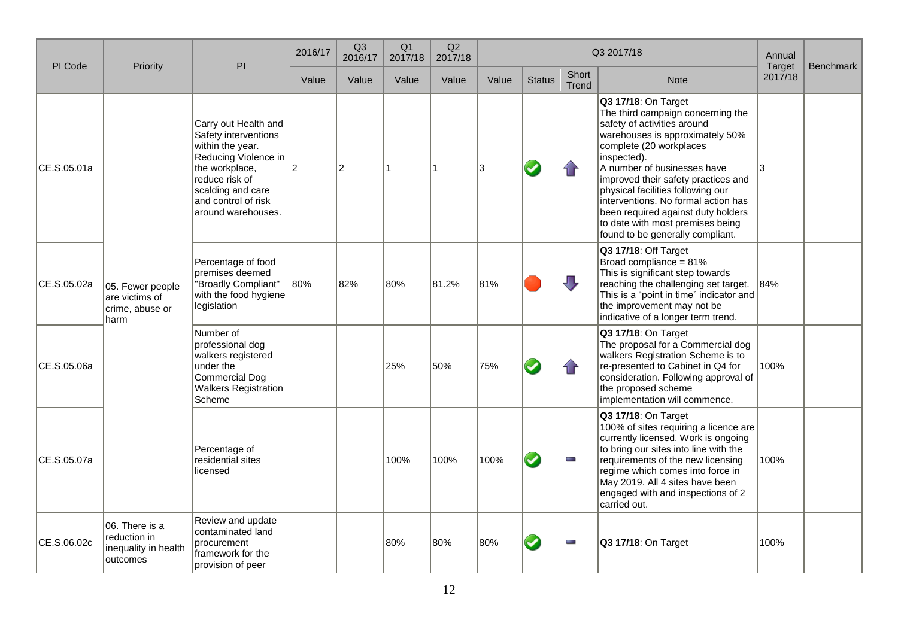|             |                                                                    |                                                                                                                                                                                                | 2016/17 | Q3<br>2016/17 | Q <sub>1</sub><br>2017/18 | Q2<br>2017/18 |       |               |                | Q3 2017/18                                                                                                                                                                                                                                                                                                                                                                                                                           | Annual            |                  |
|-------------|--------------------------------------------------------------------|------------------------------------------------------------------------------------------------------------------------------------------------------------------------------------------------|---------|---------------|---------------------------|---------------|-------|---------------|----------------|--------------------------------------------------------------------------------------------------------------------------------------------------------------------------------------------------------------------------------------------------------------------------------------------------------------------------------------------------------------------------------------------------------------------------------------|-------------------|------------------|
| PI Code     | Priority                                                           | PI                                                                                                                                                                                             | Value   | Value         | Value                     | Value         | Value | <b>Status</b> | Short<br>Trend | <b>Note</b>                                                                                                                                                                                                                                                                                                                                                                                                                          | Target<br>2017/18 | <b>Benchmark</b> |
| CE.S.05.01a |                                                                    | Carry out Health and<br>Safety interventions<br>within the year.<br>Reducing Violence in<br>the workplace,<br>reduce risk of<br>scalding and care<br>and control of risk<br>around warehouses. | 12.     | 2             |                           |               | 3     |               |                | Q3 17/18: On Target<br>The third campaign concerning the<br>safety of activities around<br>warehouses is approximately 50%<br>complete (20 workplaces<br>inspected).<br>A number of businesses have<br>improved their safety practices and<br>physical facilities following our<br>interventions. No formal action has<br>been required against duty holders<br>to date with most premises being<br>found to be generally compliant. | l3.               |                  |
| CE.S.05.02a | 05. Fewer people<br>are victims of<br>crime, abuse or<br>harm      | Percentage of food<br>premises deemed<br>"Broadly Compliant"<br>with the food hygiene<br>legislation                                                                                           | 80%     | 82%           | 80%                       | 81.2%         | 81%   |               |                | Q3 17/18: Off Target<br>Broad compliance = 81%<br>This is significant step towards<br>reaching the challenging set target.<br>This is a "point in time" indicator and<br>the improvement may not be<br>indicative of a longer term trend.                                                                                                                                                                                            | 84%               |                  |
| CE.S.05.06a |                                                                    | Number of<br>professional dog<br>walkers registered<br>under the<br>Commercial Dog<br><b>Walkers Registration</b><br>Scheme                                                                    |         |               | 25%                       | 50%           | 75%   |               |                | Q3 17/18: On Target<br>The proposal for a Commercial dog<br>walkers Registration Scheme is to<br>re-presented to Cabinet in Q4 for<br>consideration. Following approval of<br>the proposed scheme<br>implementation will commence.                                                                                                                                                                                                   | 100%              |                  |
| CE.S.05.07a |                                                                    | Percentage of<br>residential sites<br>licensed                                                                                                                                                 |         |               | 100%                      | 100%          | 100%  |               | Posts.         | Q3 17/18: On Target<br>100% of sites requiring a licence are<br>currently licensed. Work is ongoing<br>to bring our sites into line with the<br>requirements of the new licensing<br>regime which comes into force in<br>May 2019. All 4 sites have been<br>engaged with and inspections of 2<br>carried out.                                                                                                                        | 100%              |                  |
| CE.S.06.02c | 06. There is a<br>reduction in<br>inequality in health<br>outcomes | Review and update<br>contaminated land<br>procurement<br>framework for the<br>provision of peer                                                                                                |         |               | 80%                       | 80%           | 80%   |               | e.             | Q3 17/18: On Target                                                                                                                                                                                                                                                                                                                                                                                                                  | 100%              |                  |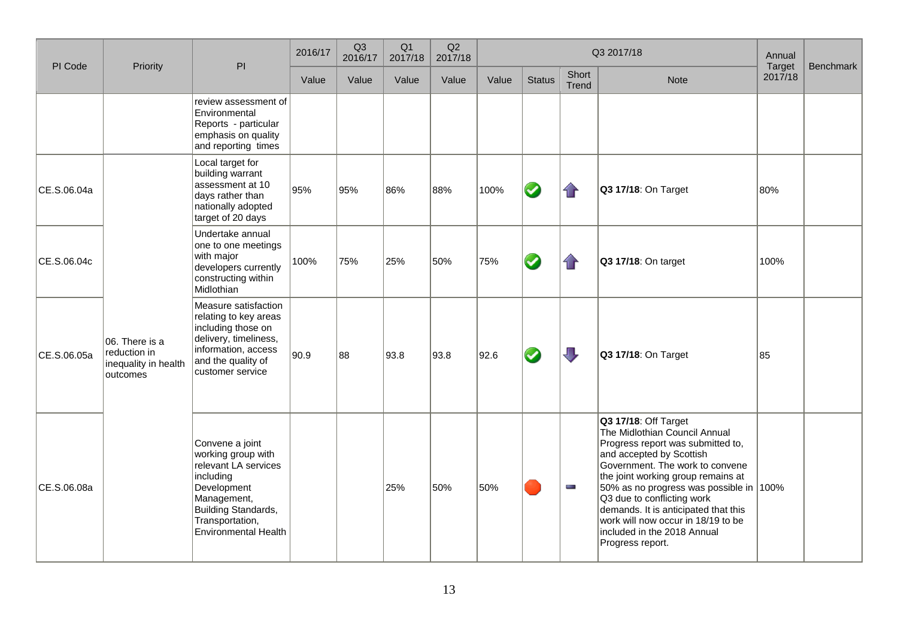|             |                                                                    |                                                                                                                                                                                   | 2016/17 | Q3<br>2016/17 | Q <sub>1</sub><br>2017/18 | Q2<br>2017/18 | Q3 2017/18 |                 |                |                                                                                                                                                                                                                                                                                                                                                                                                           | Annual            | <b>Benchmark</b> |
|-------------|--------------------------------------------------------------------|-----------------------------------------------------------------------------------------------------------------------------------------------------------------------------------|---------|---------------|---------------------------|---------------|------------|-----------------|----------------|-----------------------------------------------------------------------------------------------------------------------------------------------------------------------------------------------------------------------------------------------------------------------------------------------------------------------------------------------------------------------------------------------------------|-------------------|------------------|
| PI Code     | Priority                                                           | PI                                                                                                                                                                                | Value   | Value         | Value                     | Value         | Value      | <b>Status</b>   | Short<br>Trend | <b>Note</b>                                                                                                                                                                                                                                                                                                                                                                                               | Target<br>2017/18 |                  |
|             |                                                                    | review assessment of<br>Environmental<br>Reports - particular<br>emphasis on quality<br>and reporting times                                                                       |         |               |                           |               |            |                 |                |                                                                                                                                                                                                                                                                                                                                                                                                           |                   |                  |
| CE.S.06.04a |                                                                    | Local target for<br>building warrant<br>assessment at 10<br>days rather than<br>nationally adopted<br>target of 20 days                                                           | 95%     | 95%           | 86%                       | 88%           | 100%       | $\blacklozenge$ | 1 P            | Q3 17/18: On Target                                                                                                                                                                                                                                                                                                                                                                                       | 80%               |                  |
| CE.S.06.04c |                                                                    | Undertake annual<br>one to one meetings<br>with major<br>developers currently<br>constructing within<br>Midlothian                                                                | 100%    | 75%           | 25%                       | 50%           | 75%        | $\bullet$       | 1F             | Q3 17/18: On target                                                                                                                                                                                                                                                                                                                                                                                       | 100%              |                  |
| CE.S.06.05a | 06. There is a<br>reduction in<br>inequality in health<br>outcomes | Measure satisfaction<br>relating to key areas<br>including those on<br>delivery, timeliness,<br>information, access<br>and the quality of<br>customer service                     | 90.9    | 88            | 93.8                      | 93.8          | 92.6       | $\bullet$       | 几              | Q3 17/18: On Target                                                                                                                                                                                                                                                                                                                                                                                       | 85                |                  |
| CE.S.06.08a |                                                                    | Convene a joint<br>working group with<br>relevant LA services<br>including<br>Development<br>Management,<br>Building Standards,<br>Transportation,<br><b>Environmental Health</b> |         |               | 25%                       | 50%           | 50%        |                 | m.             | Q3 17/18: Off Target<br>The Midlothian Council Annual<br>Progress report was submitted to,<br>and accepted by Scottish<br>Government. The work to convene<br>the joint working group remains at<br>50% as no progress was possible in 100%<br>Q3 due to conflicting work<br>demands. It is anticipated that this<br>work will now occur in 18/19 to be<br>included in the 2018 Annual<br>Progress report. |                   |                  |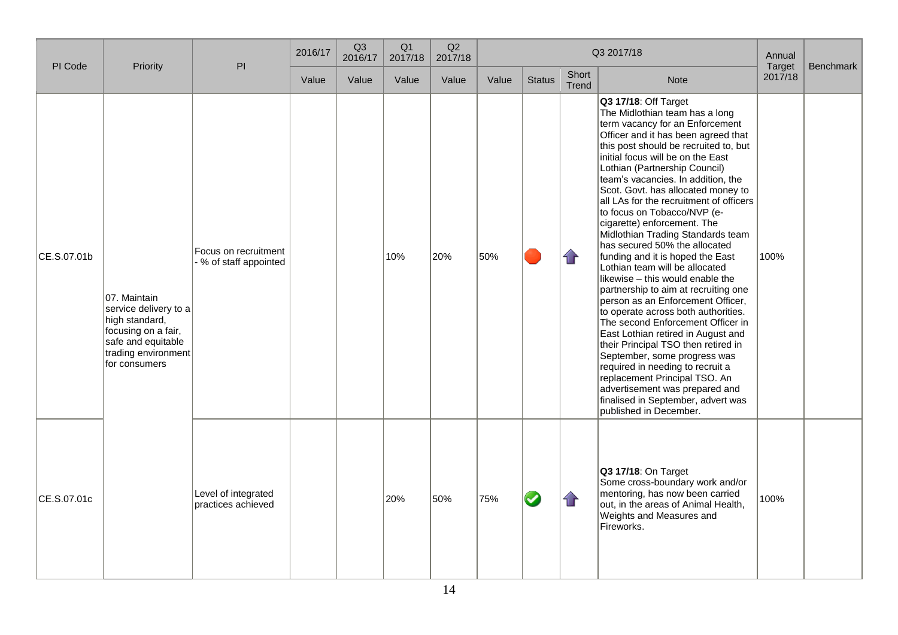|             |                                                                                                                                              |                                              | 2016/17 | Q <sub>3</sub><br>2016/17 | Q <sub>1</sub><br>2017/18 | Q2<br>2017/18 |       |               | Annual         | <b>Benchmark</b>                                                                                                                                                                                                                                                                                                                                                                                                                                                                                                                                                                                                                                                                                                                                                                                                                                                                                                                                                                                                                                                  |                   |  |
|-------------|----------------------------------------------------------------------------------------------------------------------------------------------|----------------------------------------------|---------|---------------------------|---------------------------|---------------|-------|---------------|----------------|-------------------------------------------------------------------------------------------------------------------------------------------------------------------------------------------------------------------------------------------------------------------------------------------------------------------------------------------------------------------------------------------------------------------------------------------------------------------------------------------------------------------------------------------------------------------------------------------------------------------------------------------------------------------------------------------------------------------------------------------------------------------------------------------------------------------------------------------------------------------------------------------------------------------------------------------------------------------------------------------------------------------------------------------------------------------|-------------------|--|
| PI Code     | Priority                                                                                                                                     | PI                                           | Value   | Value                     | Value                     | Value         | Value | <b>Status</b> | Short<br>Trend | <b>Note</b>                                                                                                                                                                                                                                                                                                                                                                                                                                                                                                                                                                                                                                                                                                                                                                                                                                                                                                                                                                                                                                                       | Target<br>2017/18 |  |
| CE.S.07.01b | 07. Maintain<br>service delivery to a<br>high standard,<br>focusing on a fair,<br>safe and equitable<br>trading environment<br>for consumers | Focus on recruitment<br>% of staff appointed |         |                           | 10%                       | 20%           | 50%   |               | 1 F            | Q3 17/18: Off Target<br>The Midlothian team has a long<br>term vacancy for an Enforcement<br>Officer and it has been agreed that<br>this post should be recruited to, but<br>initial focus will be on the East<br>Lothian (Partnership Council)<br>team's vacancies. In addition, the<br>Scot. Govt. has allocated money to<br>all LAs for the recruitment of officers<br>to focus on Tobacco/NVP (e-<br>cigarette) enforcement. The<br>Midlothian Trading Standards team<br>has secured 50% the allocated<br>funding and it is hoped the East<br>Lothian team will be allocated<br>likewise - this would enable the<br>partnership to aim at recruiting one<br>person as an Enforcement Officer,<br>to operate across both authorities.<br>The second Enforcement Officer in<br>East Lothian retired in August and<br>their Principal TSO then retired in<br>September, some progress was<br>required in needing to recruit a<br>replacement Principal TSO. An<br>advertisement was prepared and<br>finalised in September, advert was<br>published in December. | 100%              |  |
| CE.S.07.01c |                                                                                                                                              | Level of integrated<br>practices achieved    |         |                           | 20%                       | 50%           | 75%   | $\bm{\omega}$ |                | Q3 17/18: On Target<br>Some cross-boundary work and/or<br>mentoring, has now been carried<br>out, in the areas of Animal Health,<br>Weights and Measures and<br>Fireworks.                                                                                                                                                                                                                                                                                                                                                                                                                                                                                                                                                                                                                                                                                                                                                                                                                                                                                        | 100%              |  |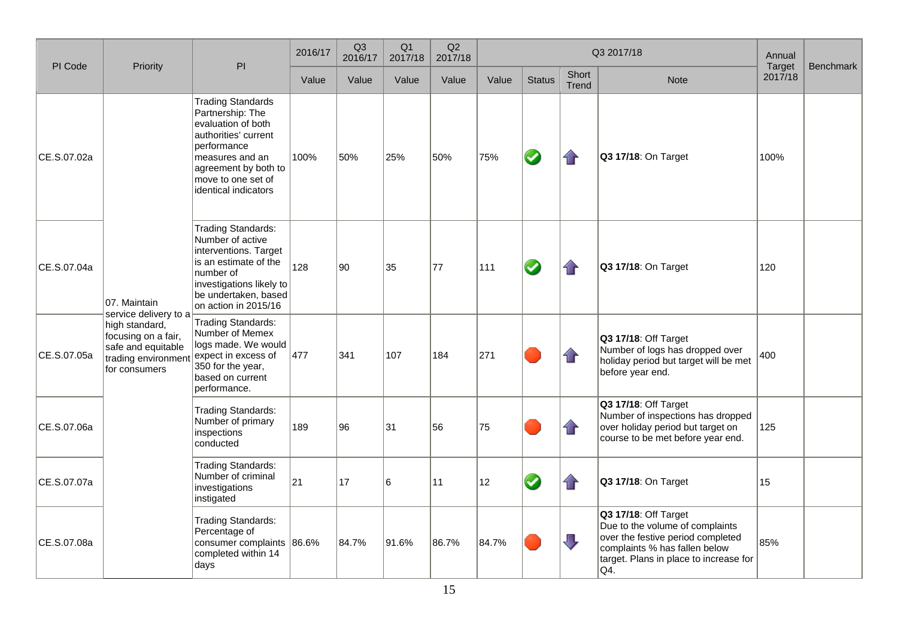| PI Code     |                                                                                                     | PI                                                                                                                                                                                                 | 2016/17 | Q <sub>3</sub><br>2016/17 | Q <sub>1</sub><br>2017/18 | Q2<br>2017/18 |       |                 | Annual                | <b>Benchmark</b>                                                                                                                                                               |                   |  |
|-------------|-----------------------------------------------------------------------------------------------------|----------------------------------------------------------------------------------------------------------------------------------------------------------------------------------------------------|---------|---------------------------|---------------------------|---------------|-------|-----------------|-----------------------|--------------------------------------------------------------------------------------------------------------------------------------------------------------------------------|-------------------|--|
|             | Priority                                                                                            |                                                                                                                                                                                                    | Value   | Value                     | Value                     | Value         | Value | <b>Status</b>   | <b>Short</b><br>Trend | <b>Note</b>                                                                                                                                                                    | Target<br>2017/18 |  |
| CE.S.07.02a |                                                                                                     | <b>Trading Standards</b><br>Partnership: The<br>evaluation of both<br>authorities' current<br>performance<br>measures and an<br>agreement by both to<br>move to one set of<br>identical indicators | 100%    | 50%                       | 25%                       | 50%           | 75%   | $\blacklozenge$ | $\mathbf{f}$          | Q3 17/18: On Target                                                                                                                                                            | 100%              |  |
| CE.S.07.04a | 07. Maintain<br>service delivery to a                                                               | <b>Trading Standards:</b><br>Number of active<br>interventions. Target<br>is an estimate of the<br>number of<br>investigations likely to<br>be undertaken, based<br>on action in 2015/16           | 128     | 90                        | 35                        | 77            | 111   | $\blacklozenge$ | ⇑                     | Q3 17/18: On Target                                                                                                                                                            | 120               |  |
| CE.S.07.05a | high standard,<br>focusing on a fair,<br>safe and equitable<br>trading environment<br>for consumers | <b>Trading Standards:</b><br>Number of Memex<br>logs made. We would<br>expect in excess of<br>350 for the year,<br>based on current<br>performance.                                                | 477     | 341                       | 107                       | 184           | 271   |                 | $\bigcap$             | Q3 17/18: Off Target<br>Number of logs has dropped over<br>holiday period but target will be met<br>before year end.                                                           | 400               |  |
| CE.S.07.06a |                                                                                                     | <b>Trading Standards:</b><br>Number of primary<br>inspections<br>conducted                                                                                                                         | 189     | 96                        | 31                        | 56            | 75    |                 | ▜▛                    | Q3 17/18: Off Target<br>Number of inspections has dropped<br>over holiday period but target on<br>course to be met before year end.                                            | 125               |  |
| CE.S.07.07a |                                                                                                     | <b>Trading Standards:</b><br>Number of criminal<br>investigations<br>instigated                                                                                                                    | 21      | 17                        | 6                         | 11            | 12    | $\blacklozenge$ | $\mathbf{\hat{T}}$    | Q3 17/18: On Target                                                                                                                                                            | 15                |  |
| CE.S.07.08a |                                                                                                     | <b>Trading Standards:</b><br>Percentage of<br>consumer complaints 86.6%<br>completed within 14<br>days                                                                                             |         | 84.7%                     | 91.6%                     | 86.7%         | 84.7% |                 | 几                     | Q3 17/18: Off Target<br>Due to the volume of complaints<br>over the festive period completed<br>complaints % has fallen below<br>target. Plans in place to increase for<br>Q4. | 85%               |  |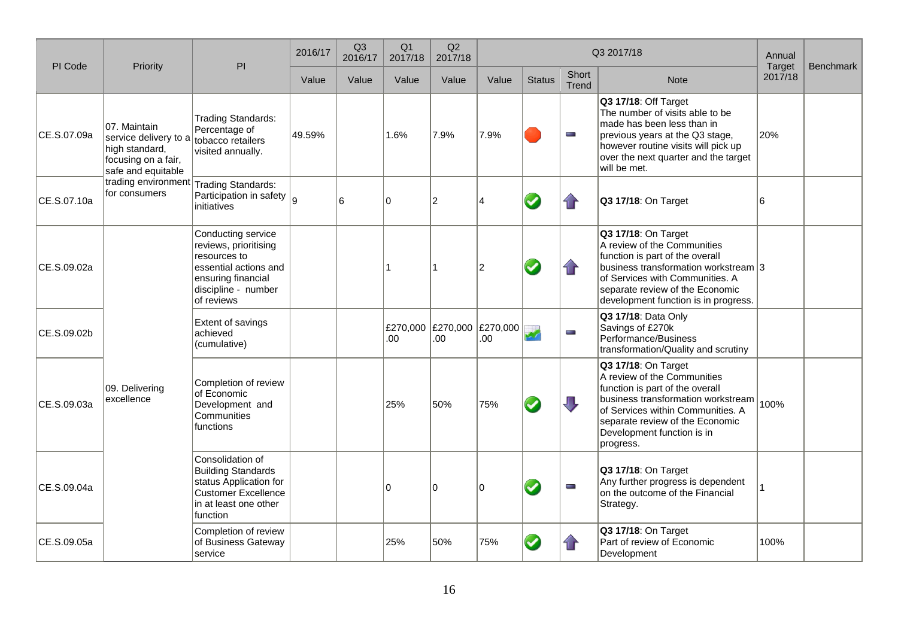|             |                                                                                                      |                                                                                                                                                 | 2016/17 | Q3<br>2016/17 | Q <sub>1</sub><br>2017/18 | Q2<br>2017/18                     | Q3 2017/18     |                      |                |                                                                                                                                                                                                                                                | Annual            | <b>Benchmark</b> |
|-------------|------------------------------------------------------------------------------------------------------|-------------------------------------------------------------------------------------------------------------------------------------------------|---------|---------------|---------------------------|-----------------------------------|----------------|----------------------|----------------|------------------------------------------------------------------------------------------------------------------------------------------------------------------------------------------------------------------------------------------------|-------------------|------------------|
| PI Code     | Priority                                                                                             | PI                                                                                                                                              | Value   | Value         | Value                     | Value                             | Value          | <b>Status</b>        | Short<br>Trend | <b>Note</b>                                                                                                                                                                                                                                    | Target<br>2017/18 |                  |
| CE.S.07.09a | 07. Maintain<br>service delivery to a<br>high standard,<br>focusing on a fair,<br>safe and equitable | <b>Trading Standards:</b><br>Percentage of<br>tobacco retailers<br>visited annually.                                                            | 49.59%  |               | 1.6%                      | 7.9%                              | 7.9%           |                      | e.             | Q3 17/18: Off Target<br>The number of visits able to be<br>made has been less than in<br>previous years at the Q3 stage,<br>however routine visits will pick up<br>over the next quarter and the target<br>will be met.                        | 20%               |                  |
| CE.S.07.10a | for consumers                                                                                        | trading environment Trading Standards:<br>Participation in safety $ _9$<br>initiatives                                                          |         | 6             | 0                         | $\overline{2}$                    | 4              |                      |                | Q3 17/18: On Target                                                                                                                                                                                                                            | 16                |                  |
| CE.S.09.02a |                                                                                                      | Conducting service<br>reviews, prioritising<br>resources to<br>essential actions and<br>ensuring financial<br>discipline - number<br>of reviews |         |               |                           | 1                                 | $\overline{c}$ |                      |                | Q3 17/18: On Target<br>A review of the Communities<br>function is part of the overall<br>business transformation workstream 3<br>of Services with Communities. A<br>separate review of the Economic<br>development function is in progress.    |                   |                  |
| CE.S.09.02b |                                                                                                      | <b>Extent of savings</b><br>achieved<br>(cumulative)                                                                                            |         |               | .00                       | £270,000 £270,000 £270,000<br>.00 | .00            |                      | m.             | Q3 17/18: Data Only<br>Savings of £270k<br>Performance/Business<br>transformation/Quality and scrutiny                                                                                                                                         |                   |                  |
| CE.S.09.03a | 09. Delivering<br>excellence                                                                         | Completion of review<br>of Economic<br>Development and<br>Communities<br>functions                                                              |         |               | 25%                       | 50%                               | 75%            |                      | ЛĻ             | Q3 17/18: On Target<br>A review of the Communities<br>function is part of the overall<br>business transformation workstream<br>of Services within Communities. A<br>separate review of the Economic<br>Development function is in<br>progress. | 100%              |                  |
| CE.S.09.04a |                                                                                                      | Consolidation of<br><b>Building Standards</b><br>status Application for<br><b>Customer Excellence</b><br>in at least one other<br>function      |         |               | $\Omega$                  | 0                                 | 10             | $\blacktriangledown$ | m.             | Q3 17/18: On Target<br>Any further progress is dependent<br>on the outcome of the Financial<br>Strategy.                                                                                                                                       |                   |                  |
| CE.S.09.05a |                                                                                                      | Completion of review<br>of Business Gateway<br>service                                                                                          |         |               | 25%                       | 50%                               | 75%            |                      |                | Q3 17/18: On Target<br>Part of review of Economic<br>Development                                                                                                                                                                               | 100%              |                  |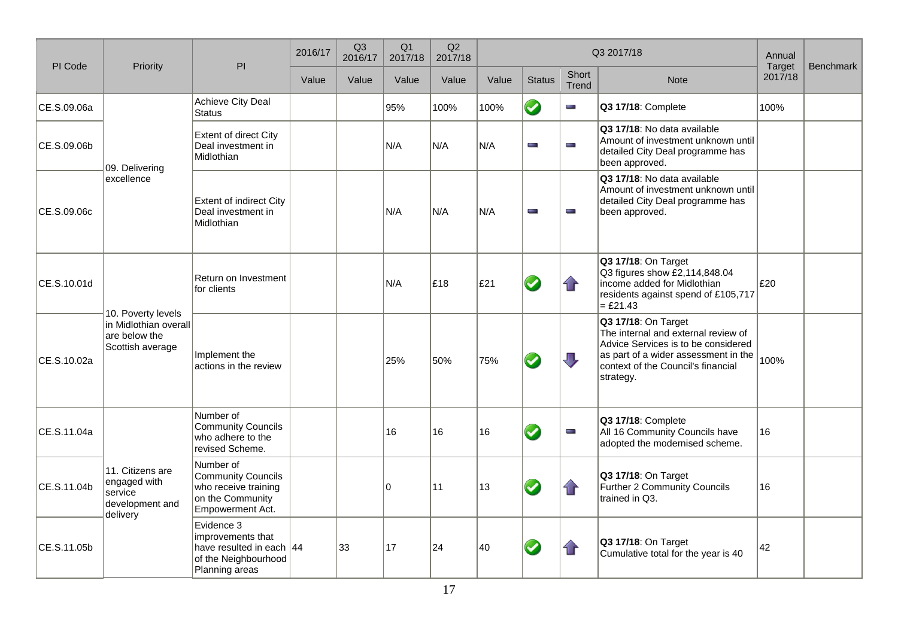| PI Code     |                                                                            | PI                                                                                                    | 2016/17 | Q <sub>3</sub><br>2016/17 | Q <sub>1</sub><br>2017/18 | Q <sub>2</sub><br>2017/18 | Q3 2017/18  |                      |                | Annual                                                                                                                                                                                       | <b>Benchmark</b>  |  |
|-------------|----------------------------------------------------------------------------|-------------------------------------------------------------------------------------------------------|---------|---------------------------|---------------------------|---------------------------|-------------|----------------------|----------------|----------------------------------------------------------------------------------------------------------------------------------------------------------------------------------------------|-------------------|--|
|             | Priority                                                                   |                                                                                                       | Value   | Value                     | Value                     | Value                     | Value       | <b>Status</b>        | Short<br>Trend | <b>Note</b>                                                                                                                                                                                  | Target<br>2017/18 |  |
| CE.S.09.06a |                                                                            | Achieve City Deal<br><b>Status</b>                                                                    |         |                           | 95%                       | 100%                      | 100%        | $\bullet$            | e.             | Q3 17/18: Complete                                                                                                                                                                           | 100%              |  |
| CE.S.09.06b | 09. Delivering                                                             | Extent of direct City<br>Deal investment in<br>Midlothian                                             |         |                           | N/A                       | N/A                       | N/A         | Policy in            | m.             | Q3 17/18: No data available<br>Amount of investment unknown until<br>detailed City Deal programme has<br>been approved.                                                                      |                   |  |
| CE.S.09.06c | excellence                                                                 | Extent of indirect City<br>Deal investment in<br>Midlothian                                           |         |                           | N/A                       | N/A                       | N/A         | Policy of            | e.             | Q3 17/18: No data available<br>Amount of investment unknown until<br>detailed City Deal programme has<br>been approved.                                                                      |                   |  |
| CE.S.10.01d | 10. Poverty levels                                                         | Return on Investment<br>for clients                                                                   |         |                           | N/A                       | E18                       | $\vert$ £21 | $\blacktriangledown$ | 1 F            | Q3 17/18: On Target<br>Q3 figures show £2,114,848.04<br>income added for Midlothian<br>residents against spend of £105,717<br>$= £21.43$                                                     | £20               |  |
| CE.S.10.02a | in Midlothian overall<br>are below the<br>Scottish average                 | Implement the<br>actions in the review                                                                |         |                           | 25%                       | 50%                       | 75%         | $\blacklozenge$      | Л,             | Q3 17/18: On Target<br>The internal and external review of<br>Advice Services is to be considered<br>as part of a wider assessment in the<br>context of the Council's financial<br>strategy. | 100%              |  |
| CE.S.11.04a |                                                                            | Number of<br>Community Councils<br>who adhere to the<br>revised Scheme.                               |         |                           | 16                        | 16                        | 16          | $\blacktriangledown$ | <b>COLLEGE</b> | Q3 17/18: Complete<br>All 16 Community Councils have<br>adopted the modernised scheme.                                                                                                       | 16                |  |
| CE.S.11.04b | 11. Citizens are<br>engaged with<br>service<br>development and<br>delivery | Number of<br>Community Councils<br>who receive training<br>on the Community<br>Empowerment Act.       |         |                           | $\Omega$                  | 11                        | 13          | $\blacktriangledown$ | 1F             | Q3 17/18: On Target<br>Further 2 Community Councils<br>trained in Q3.                                                                                                                        | 16                |  |
| CE.S.11.05b |                                                                            | Evidence 3<br>improvements that<br>have resulted in each 44<br>of the Neighbourhood<br>Planning areas |         | 33                        | 17                        | 24                        | 40          | $\blacktriangledown$ | $\bf \Omega$   | Q3 17/18: On Target<br>Cumulative total for the year is 40                                                                                                                                   | 42                |  |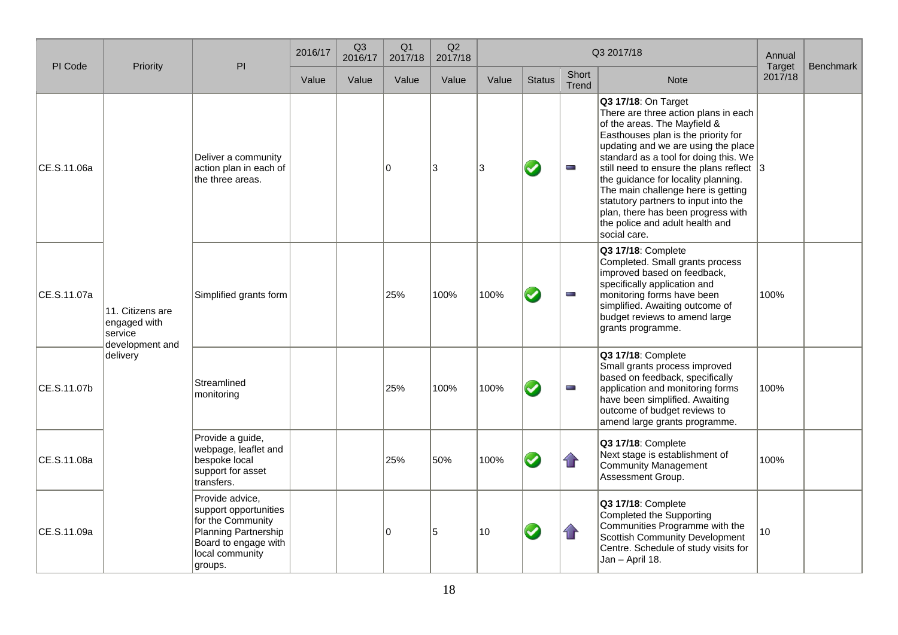|             |                                                                            |                                                                                                                                             | 2016/17 | Q3<br>2016/17 | Q <sub>1</sub><br>2017/18 | Q2<br>2017/18 |       |                      | Annual         | <b>Benchmark</b>                                                                                                                                                                                                                                                                                                                                                                                                                                                             |                   |  |
|-------------|----------------------------------------------------------------------------|---------------------------------------------------------------------------------------------------------------------------------------------|---------|---------------|---------------------------|---------------|-------|----------------------|----------------|------------------------------------------------------------------------------------------------------------------------------------------------------------------------------------------------------------------------------------------------------------------------------------------------------------------------------------------------------------------------------------------------------------------------------------------------------------------------------|-------------------|--|
| PI Code     | Priority                                                                   | PI                                                                                                                                          | Value   | Value         | Value                     | Value         | Value | <b>Status</b>        | Short<br>Trend | <b>Note</b>                                                                                                                                                                                                                                                                                                                                                                                                                                                                  | Target<br>2017/18 |  |
| CE.S.11.06a |                                                                            | Deliver a community<br>action plan in each of<br>the three areas.                                                                           |         |               | $\overline{0}$            | 3             | 3     |                      | e.             | Q3 17/18: On Target<br>There are three action plans in each<br>of the areas. The Mayfield &<br>Easthouses plan is the priority for<br>updating and we are using the place<br>standard as a tool for doing this. We<br>still need to ensure the plans reflect 3<br>the guidance for locality planning.<br>The main challenge here is getting<br>statutory partners to input into the<br>plan, there has been progress with<br>the police and adult health and<br>social care. |                   |  |
| CE.S.11.07a | 11. Citizens are<br>engaged with<br>service<br>development and<br>delivery | Simplified grants form                                                                                                                      |         |               | 25%                       | 100%          | 100%  | $\blacktriangledown$ | m.             | Q3 17/18: Complete<br>Completed. Small grants process<br>improved based on feedback,<br>specifically application and<br>monitoring forms have been<br>simplified. Awaiting outcome of<br>budget reviews to amend large<br>grants programme.                                                                                                                                                                                                                                  | 100%              |  |
| CE.S.11.07b |                                                                            | Streamlined<br>monitoring                                                                                                                   |         |               | 25%                       | 100%          | 100%  |                      | Portugal       | Q3 17/18: Complete<br>Small grants process improved<br>based on feedback, specifically<br>application and monitoring forms<br>have been simplified. Awaiting<br>outcome of budget reviews to<br>amend large grants programme.                                                                                                                                                                                                                                                | 100%              |  |
| CE.S.11.08a |                                                                            | Provide a guide,<br>webpage, leaflet and<br>bespoke local<br>support for asset<br>transfers.                                                |         |               | 25%                       | 50%           | 100%  |                      | 1 F            | Q3 17/18: Complete<br>Next stage is establishment of<br>Community Management<br>Assessment Group.                                                                                                                                                                                                                                                                                                                                                                            | 100%              |  |
| CE.S.11.09a |                                                                            | Provide advice,<br>support opportunities<br>for the Community<br>Planning Partnership<br>Board to engage with<br>local community<br>groups. |         |               | 0                         | 5             | 10    |                      | 1 F            | Q3 17/18: Complete<br>Completed the Supporting<br>Communities Programme with the<br>Scottish Community Development<br>Centre. Schedule of study visits for<br>Jan - April 18.                                                                                                                                                                                                                                                                                                | 10                |  |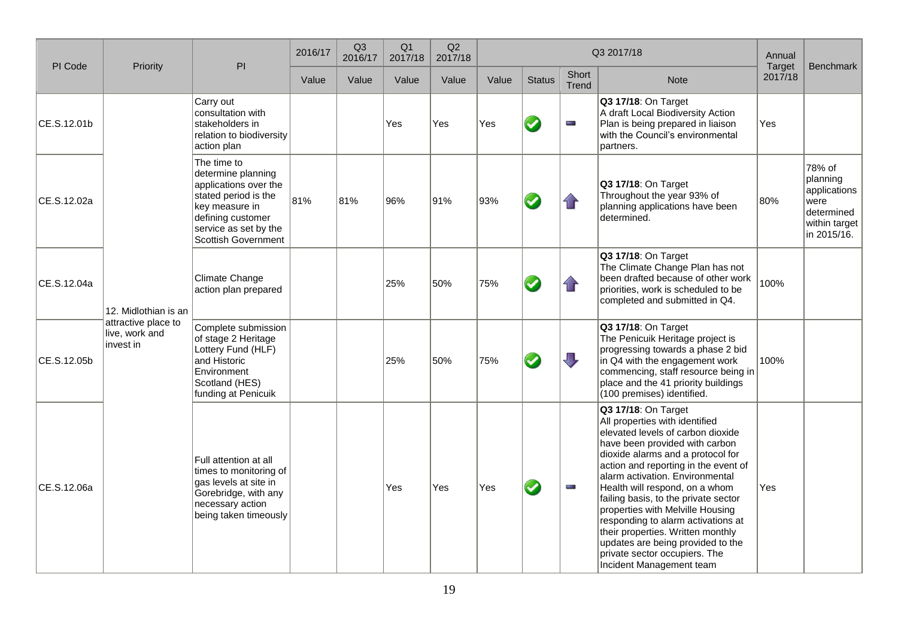|             |                                                                            |                                                                                                                                                                                  | 2016/17 | Q3<br>2016/17 | Q <sub>1</sub><br>2017/18 | Q2<br>2017/18 | Q3 2017/18 |                      |                       |                                                                                                                                                                                                                                                                                                                                                                                                                                                                                                                                         | Annual            | <b>Benchmark</b>                                                                         |
|-------------|----------------------------------------------------------------------------|----------------------------------------------------------------------------------------------------------------------------------------------------------------------------------|---------|---------------|---------------------------|---------------|------------|----------------------|-----------------------|-----------------------------------------------------------------------------------------------------------------------------------------------------------------------------------------------------------------------------------------------------------------------------------------------------------------------------------------------------------------------------------------------------------------------------------------------------------------------------------------------------------------------------------------|-------------------|------------------------------------------------------------------------------------------|
| PI Code     | Priority                                                                   | PI                                                                                                                                                                               | Value   | Value         | Value                     | Value         | Value      | <b>Status</b>        | <b>Short</b><br>Trend | <b>Note</b>                                                                                                                                                                                                                                                                                                                                                                                                                                                                                                                             | Target<br>2017/18 |                                                                                          |
| CE.S.12.01b |                                                                            | Carry out<br>consultation with<br>stakeholders in<br>relation to biodiversity<br>action plan                                                                                     |         |               | Yes                       | Yes           | Yes        | $\blacklozenge$      | m.                    | Q3 17/18: On Target<br>A draft Local Biodiversity Action<br>Plan is being prepared in liaison<br>with the Council's environmental<br>partners.                                                                                                                                                                                                                                                                                                                                                                                          | Yes               |                                                                                          |
| CE.S.12.02a | 12. Midlothian is an<br>attractive place to<br>live, work and<br>invest in | The time to<br>determine planning<br>applications over the<br>stated period is the<br>key measure in<br>defining customer<br>service as set by the<br><b>Scottish Government</b> | 81%     | 81%           | 96%                       | 91%           | 93%        | $\blacklozenge$      | $\bigcap$             | Q3 17/18: On Target<br>Throughout the year 93% of<br>planning applications have been<br>determined.                                                                                                                                                                                                                                                                                                                                                                                                                                     | 80%               | 78% of<br>planning<br>applications<br>were<br>determined<br>within target<br>in 2015/16. |
| CE.S.12.04a |                                                                            | Climate Change<br>action plan prepared                                                                                                                                           |         |               | 25%                       | 50%           | 75%        | $\blacktriangledown$ | $\mathbf{\hat{T}}$    | Q3 17/18: On Target<br>The Climate Change Plan has not<br>been drafted because of other work<br>priorities, work is scheduled to be<br>completed and submitted in Q4.                                                                                                                                                                                                                                                                                                                                                                   | 100%              |                                                                                          |
| CE.S.12.05b |                                                                            | Complete submission<br>of stage 2 Heritage<br>Lottery Fund (HLF)<br>and Historic<br>Environment<br>Scotland (HES)<br>funding at Penicuik                                         |         |               | 25%                       | 50%           | 75%        | $\blacklozenge$      | 几                     | Q3 17/18: On Target<br>The Penicuik Heritage project is<br>progressing towards a phase 2 bid<br>in Q4 with the engagement work<br>commencing, staff resource being in<br>place and the 41 priority buildings<br>(100 premises) identified.                                                                                                                                                                                                                                                                                              | 100%              |                                                                                          |
| CE.S.12.06a |                                                                            | Full attention at all<br>times to monitoring of<br>gas levels at site in<br>Gorebridge, with any<br>necessary action<br>being taken timeously                                    |         |               | Yes                       | Yes           | Yes        | $\bigcirc$           | <b>STATE</b>          | Q3 17/18: On Target<br>All properties with identified<br>elevated levels of carbon dioxide<br>have been provided with carbon<br>dioxide alarms and a protocol for<br>action and reporting in the event of<br>alarm activation. Environmental<br>Health will respond, on a whom<br>failing basis, to the private sector<br>properties with Melville Housing<br>responding to alarm activations at<br>their properties. Written monthly<br>updates are being provided to the<br>private sector occupiers. The<br>Incident Management team | Yes               |                                                                                          |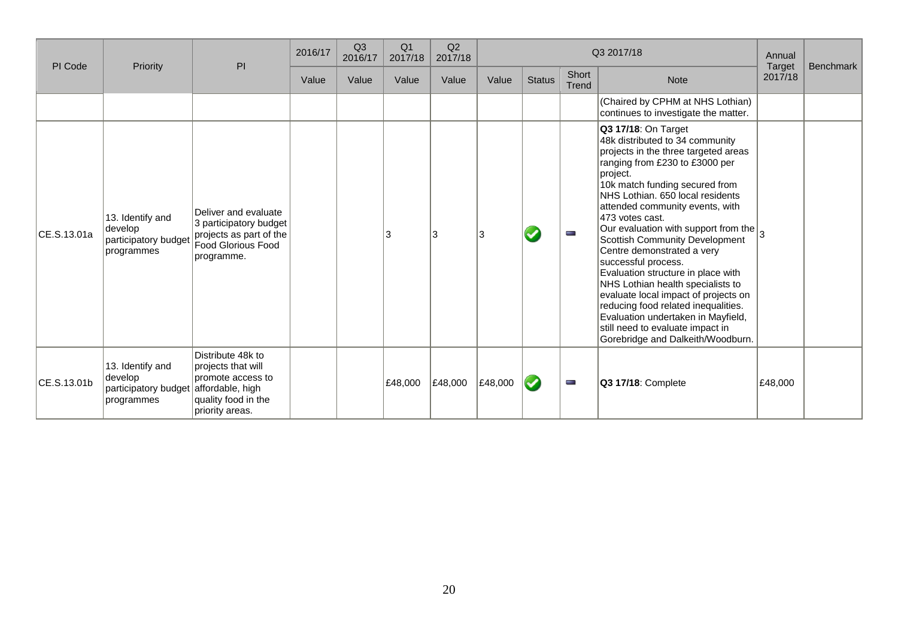|             |                                                                   |                                                                                                                            | 2016/17 | Q <sub>3</sub><br>2016/17 | Q <sub>1</sub><br>2017/18 | Q2<br>2017/18 |         | Q3 2017/18           |                           |                                                                                                                                                                                                                                                                                                                                                                                                                                                                                                                                                                                                                                                                                       |                   | <b>Benchmark</b> |
|-------------|-------------------------------------------------------------------|----------------------------------------------------------------------------------------------------------------------------|---------|---------------------------|---------------------------|---------------|---------|----------------------|---------------------------|---------------------------------------------------------------------------------------------------------------------------------------------------------------------------------------------------------------------------------------------------------------------------------------------------------------------------------------------------------------------------------------------------------------------------------------------------------------------------------------------------------------------------------------------------------------------------------------------------------------------------------------------------------------------------------------|-------------------|------------------|
| PI Code     | Priority                                                          | PI                                                                                                                         | Value   | Value                     | Value                     | Value         | Value   | <b>Status</b>        | Short<br>Trend            | <b>Note</b>                                                                                                                                                                                                                                                                                                                                                                                                                                                                                                                                                                                                                                                                           | Target<br>2017/18 |                  |
|             |                                                                   |                                                                                                                            |         |                           |                           |               |         |                      |                           | (Chaired by CPHM at NHS Lothian)<br>continues to investigate the matter.                                                                                                                                                                                                                                                                                                                                                                                                                                                                                                                                                                                                              |                   |                  |
| CE.S.13.01a | 13. Identify and<br>develop<br>participatory budget<br>programmes | Deliver and evaluate<br>3 participatory budget<br>projects as part of the<br><b>Food Glorious Food</b><br>programme.       |         |                           | 3                         | 13            | 3       |                      | m.                        | Q3 17/18: On Target<br>48k distributed to 34 community<br>projects in the three targeted areas<br>ranging from £230 to £3000 per<br>project.<br>10k match funding secured from<br>NHS Lothian. 650 local residents<br>attended community events, with<br>473 votes cast.<br>Our evaluation with support from the $_3$<br>Scottish Community Development<br>Centre demonstrated a very<br>successful process.<br>Evaluation structure in place with<br>NHS Lothian health specialists to<br>evaluate local impact of projects on<br>reducing food related inequalities.<br>Evaluation undertaken in Mayfield,<br>still need to evaluate impact in<br>Gorebridge and Dalkeith/Woodburn. |                   |                  |
| CE.S.13.01b | 13. Identify and<br>develop<br>participatory budget<br>programmes | Distribute 48k to<br>projects that will<br>promote access to<br>affordable, high<br>quality food in the<br>priority areas. |         |                           | £48,000                   | £48,000       | £48,000 | $\blacktriangledown$ | Q3 17/18: Complete<br>me. |                                                                                                                                                                                                                                                                                                                                                                                                                                                                                                                                                                                                                                                                                       | £48,000           |                  |